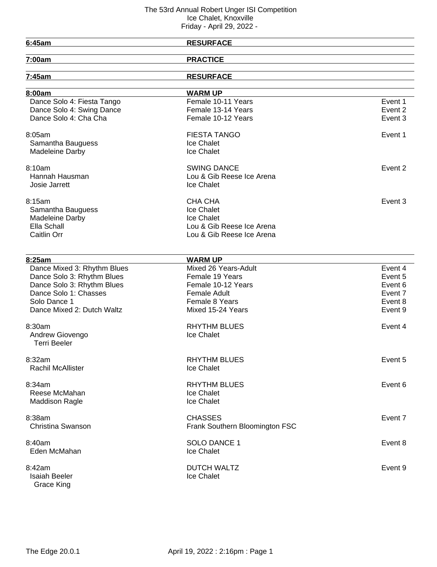| 6:45am                      | <b>RESURFACE</b>               |         |
|-----------------------------|--------------------------------|---------|
| 7:00am                      | <b>PRACTICE</b>                |         |
| 7:45am                      | <b>RESURFACE</b>               |         |
|                             |                                |         |
| 8:00am                      | <b>WARM UP</b>                 |         |
| Dance Solo 4: Fiesta Tango  | Female 10-11 Years             | Event 1 |
| Dance Solo 4: Swing Dance   | Female 13-14 Years             | Event 2 |
| Dance Solo 4: Cha Cha       | Female 10-12 Years             | Event 3 |
| 8:05am                      | <b>FIESTA TANGO</b>            | Event 1 |
| Samantha Bauguess           | Ice Chalet                     |         |
| Madeleine Darby             | Ice Chalet                     |         |
| 8:10am                      | <b>SWING DANCE</b>             | Event 2 |
| Hannah Hausman              | Lou & Gib Reese Ice Arena      |         |
| Josie Jarrett               | Ice Chalet                     |         |
| 8:15am                      | <b>CHA CHA</b>                 | Event 3 |
| Samantha Bauguess           | Ice Chalet                     |         |
| Madeleine Darby             | Ice Chalet                     |         |
| Ella Schall                 | Lou & Gib Reese Ice Arena      |         |
| Caitlin Orr                 | Lou & Gib Reese Ice Arena      |         |
|                             |                                |         |
| 8:25am                      | <b>WARM UP</b>                 |         |
| Dance Mixed 3: Rhythm Blues | Mixed 26 Years-Adult           | Event 4 |
| Dance Solo 3: Rhythm Blues  | Female 19 Years                | Event 5 |
| Dance Solo 3: Rhythm Blues  | Female 10-12 Years             | Event 6 |
| Dance Solo 1: Chasses       | <b>Female Adult</b>            | Event 7 |
| Solo Dance 1                | <b>Female 8 Years</b>          | Event 8 |
| Dance Mixed 2: Dutch Waltz  | Mixed 15-24 Years              | Event 9 |
| 8:30am                      | <b>RHYTHM BLUES</b>            | Event 4 |
| Andrew Giovengo             | Ice Chalet                     |         |
| <b>Terri Beeler</b>         |                                |         |
| 8:32am                      | <b>RHYTHM BLUES</b>            | Event 5 |
| Rachil McAllister           | Ice Chalet                     |         |
| 8:34am                      | <b>RHYTHM BLUES</b>            | Event 6 |
| Reese McMahan               | Ice Chalet                     |         |
| <b>Maddison Ragle</b>       | Ice Chalet                     |         |
| 8:38am                      | <b>CHASSES</b>                 | Event 7 |
| Christina Swanson           | Frank Southern Bloomington FSC |         |
| 8:40am                      | SOLO DANCE 1                   | Event 8 |
| Eden McMahan                | Ice Chalet                     |         |
|                             |                                |         |
| 8:42am                      | <b>DUTCH WALTZ</b>             | Event 9 |
| <b>Isaiah Beeler</b>        | Ice Chalet                     |         |
| Grace King                  |                                |         |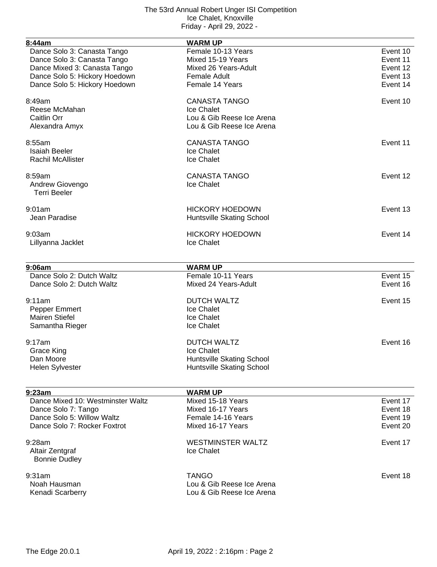| 8:44am                            | <b>WARM UP</b>                   |          |
|-----------------------------------|----------------------------------|----------|
| Dance Solo 3: Canasta Tango       | Female 10-13 Years               | Event 10 |
| Dance Solo 3: Canasta Tango       | Mixed 15-19 Years                | Event 11 |
| Dance Mixed 3: Canasta Tango      | Mixed 26 Years-Adult             | Event 12 |
| Dance Solo 5: Hickory Hoedown     | <b>Female Adult</b>              | Event 13 |
| Dance Solo 5: Hickory Hoedown     | Female 14 Years                  | Event 14 |
|                                   |                                  |          |
| 8:49am                            | <b>CANASTA TANGO</b>             | Event 10 |
| Reese McMahan                     | Ice Chalet                       |          |
| Caitlin Orr                       | Lou & Gib Reese Ice Arena        |          |
| Alexandra Amyx                    | Lou & Gib Reese Ice Arena        |          |
|                                   |                                  |          |
| 8:55am                            | <b>CANASTA TANGO</b>             | Event 11 |
| <b>Isaiah Beeler</b>              | Ice Chalet                       |          |
| <b>Rachil McAllister</b>          | Ice Chalet                       |          |
|                                   |                                  |          |
| 8:59am                            | <b>CANASTA TANGO</b>             | Event 12 |
| Andrew Giovengo                   | Ice Chalet                       |          |
| <b>Terri Beeler</b>               |                                  |          |
| 9:01am                            | <b>HICKORY HOEDOWN</b>           | Event 13 |
| Jean Paradise                     | Huntsville Skating School        |          |
|                                   |                                  |          |
| 9:03am                            | <b>HICKORY HOEDOWN</b>           | Event 14 |
| Lillyanna Jacklet                 | Ice Chalet                       |          |
|                                   |                                  |          |
| 9:06am                            | <b>WARM UP</b>                   |          |
| Dance Solo 2: Dutch Waltz         | Female 10-11 Years               | Event 15 |
| Dance Solo 2: Dutch Waltz         | Mixed 24 Years-Adult             | Event 16 |
|                                   |                                  |          |
| 9:11am                            | <b>DUTCH WALTZ</b>               | Event 15 |
| Pepper Emmert                     | Ice Chalet                       |          |
| <b>Mairen Stiefel</b>             | Ice Chalet                       |          |
| Samantha Rieger                   | Ice Chalet                       |          |
| 9:17am                            | <b>DUTCH WALTZ</b>               | Event 16 |
|                                   |                                  |          |
| Grace King                        | Ice Chalet                       |          |
| Dan Moore                         | <b>Huntsville Skating School</b> |          |
| <b>Helen Sylvester</b>            | Huntsville Skating School        |          |
|                                   |                                  |          |
| 9:23am                            | <b>WARM UP</b>                   |          |
| Dance Mixed 10: Westminster Waltz | Mixed 15-18 Years                | Event 17 |
| Dance Solo 7: Tango               | Mixed 16-17 Years                | Event 18 |
| Dance Solo 5: Willow Waltz        | Female 14-16 Years               | Event 19 |
| Dance Solo 7: Rocker Foxtrot      | Mixed 16-17 Years                | Event 20 |
| 9:28am                            | <b>WESTMINSTER WALTZ</b>         | Event 17 |
| Altair Zentgraf                   | Ice Chalet                       |          |
|                                   |                                  |          |
| <b>Bonnie Dudley</b>              |                                  |          |
| 9:31am                            | <b>TANGO</b>                     | Event 18 |
| Noah Hausman                      | Lou & Gib Reese Ice Arena        |          |
| Kenadi Scarberry                  | Lou & Gib Reese Ice Arena        |          |
|                                   |                                  |          |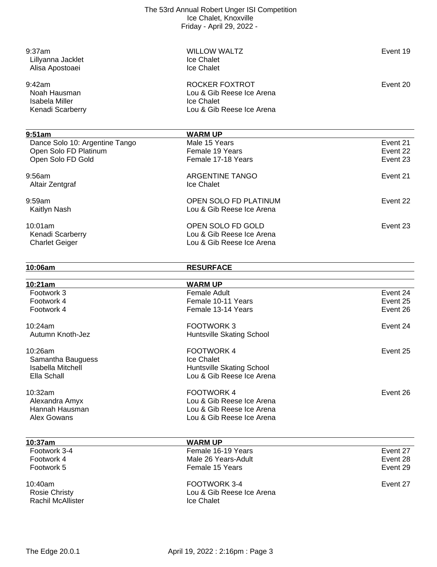| 9:37am                                    | <b>WILLOW WALTZ</b>                     | Event 19 |
|-------------------------------------------|-----------------------------------------|----------|
| Lillyanna Jacklet                         | Ice Chalet                              |          |
| Alisa Apostoaei                           | Ice Chalet                              |          |
|                                           |                                         |          |
| 9:42am                                    | <b>ROCKER FOXTROT</b>                   | Event 20 |
| Noah Hausman                              | Lou & Gib Reese Ice Arena               |          |
| <b>Isabela Miller</b>                     | Ice Chalet                              |          |
| Kenadi Scarberry                          | Lou & Gib Reese Ice Arena               |          |
|                                           |                                         |          |
| 9:51am                                    | <b>WARM UP</b>                          |          |
| Dance Solo 10: Argentine Tango            | Male 15 Years                           | Event 21 |
| Open Solo FD Platinum                     | Female 19 Years                         | Event 22 |
| Open Solo FD Gold                         | Female 17-18 Years                      | Event 23 |
| 9:56am                                    | <b>ARGENTINE TANGO</b>                  | Event 21 |
| Altair Zentgraf                           | Ice Chalet                              |          |
|                                           |                                         |          |
| 9:59am                                    | OPEN SOLO FD PLATINUM                   | Event 22 |
| Kaitlyn Nash                              | Lou & Gib Reese Ice Arena               |          |
|                                           | OPEN SOLO FD GOLD                       | Event 23 |
| 10:01am                                   | Lou & Gib Reese Ice Arena               |          |
| Kenadi Scarberry                          | Lou & Gib Reese Ice Arena               |          |
| <b>Charlet Geiger</b>                     |                                         |          |
| 10:06am                                   | <b>RESURFACE</b>                        |          |
|                                           |                                         |          |
| 10:21am                                   | <b>WARM UP</b>                          |          |
| Footwork 3                                | <b>Female Adult</b>                     | Event 24 |
| Footwork 4                                | Female 10-11 Years                      | Event 25 |
| Footwork 4                                | Female 13-14 Years                      | Event 26 |
| 10:24am                                   |                                         |          |
|                                           |                                         |          |
|                                           | <b>FOOTWORK3</b>                        | Event 24 |
| Autumn Knoth-Jez                          | Huntsville Skating School               |          |
| 10:26am                                   | <b>FOOTWORK4</b>                        | Event 25 |
| Samantha Bauguess                         | Ice Chalet                              |          |
| <b>Isabella Mitchell</b>                  | Huntsville Skating School               |          |
| Ella Schall                               | Lou & Gib Reese Ice Arena               |          |
|                                           |                                         |          |
| 10:32am                                   | <b>FOOTWORK4</b>                        | Event 26 |
| Alexandra Amyx                            | Lou & Gib Reese Ice Arena               |          |
| Hannah Hausman                            | Lou & Gib Reese Ice Arena               |          |
| Alex Gowans                               | Lou & Gib Reese Ice Arena               |          |
|                                           |                                         |          |
| 10:37am                                   | <b>WARM UP</b>                          |          |
| Footwork 3-4                              | Female 16-19 Years                      | Event 27 |
| Footwork 4                                | Male 26 Years-Adult                     | Event 28 |
| Footwork 5                                | Female 15 Years                         | Event 29 |
| 10:40am                                   | FOOTWORK 3-4                            | Event 27 |
| <b>Rosie Christy</b><br>Rachil McAllister | Lou & Gib Reese Ice Arena<br>Ice Chalet |          |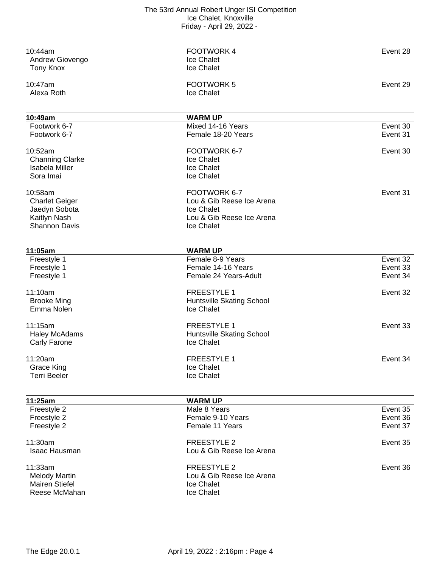| 10:52am<br><b>Channing Clarke</b><br><b>Isabela Miller</b><br>Sora Imai<br>10:58am | FOOTWORK 6-7<br>Ice Chalet<br>Ice Chalet<br>Ice Chalet<br>FOOTWORK 6-7<br>Lou & Gib Reese Ice Arena | Event 30<br>Event 31             |
|------------------------------------------------------------------------------------|-----------------------------------------------------------------------------------------------------|----------------------------------|
| <b>Charlet Geiger</b><br>Jaedyn Sobota<br>Kaitlyn Nash<br><b>Shannon Davis</b>     | Ice Chalet<br>Lou & Gib Reese Ice Arena<br>Ice Chalet                                               |                                  |
| 11:05am                                                                            | <b>WARM UP</b>                                                                                      |                                  |
| Freestyle 1                                                                        | Female 8-9 Years                                                                                    | Event 32                         |
| Freestyle 1                                                                        | Female 14-16 Years                                                                                  | Event 33                         |
| Freestyle 1                                                                        | Female 24 Years-Adult                                                                               | Event 34                         |
| 11:10am<br><b>Brooke Ming</b><br>Emma Nolen                                        | <b>FREESTYLE 1</b><br>Huntsville Skating School<br>Ice Chalet                                       | Event 32                         |
| 11:15am<br><b>Haley McAdams</b><br>Carly Farone                                    | <b>FREESTYLE 1</b><br>Huntsville Skating School<br>Ice Chalet                                       | Event 33                         |
| 11:20am<br><b>Grace King</b><br><b>Terri Beeler</b>                                | <b>FREESTYLE 1</b><br>Ice Chalet<br>Ice Chalet                                                      | Event 34                         |
| 11:25am                                                                            | <b>WARM UP</b>                                                                                      |                                  |
| Freestyle 2<br>Freestyle 2<br>Freestyle 2                                          | Male 8 Years<br>Female 9-10 Years<br>Female 11 Years                                                | Event 35<br>Event 36<br>Event 37 |
| 11:30am<br><b>Isaac Hausman</b>                                                    | <b>FREESTYLE 2</b><br>Lou & Gib Reese Ice Arena                                                     | Event 35                         |
| 11:33am<br><b>Melody Martin</b><br><b>Mairen Stiefel</b><br>Reese McMahan          | <b>FREESTYLE 2</b><br>Lou & Gib Reese Ice Arena<br>Ice Chalet<br>Ice Chalet                         | Event 36                         |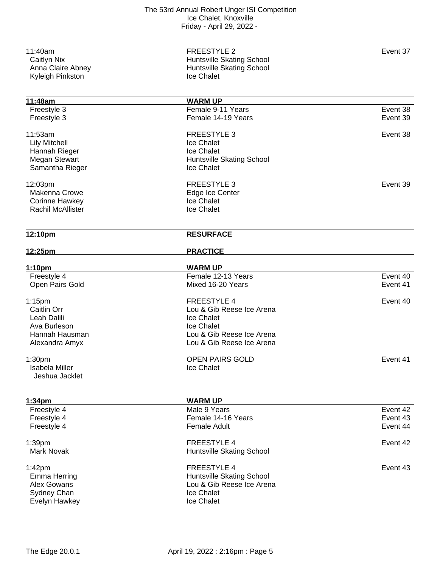11:40am Event 37 Caitlyn Nix **Caitlyn Nix Caitlyn Nix Huntsville Skating School** Anna Claire Abney **Australian Claire Abney** Huntsville Skating School Ice Chalet

| 11:48am                  | <b>WARM UP</b>            |          |
|--------------------------|---------------------------|----------|
| Freestyle 3              | Female 9-11 Years         | Event 38 |
| Freestyle 3              | Female 14-19 Years        | Event 39 |
| 11:53am                  | <b>FREESTYLE 3</b>        | Event 38 |
| <b>Lily Mitchell</b>     | <b>Ice Chalet</b>         |          |
| Hannah Rieger            | Ice Chalet                |          |
| <b>Megan Stewart</b>     | Huntsville Skating School |          |
| Samantha Rieger          | Ice Chalet                |          |
| 12:03pm                  | <b>FREESTYLE 3</b>        | Event 39 |
| Makenna Crowe            | Edge Ice Center           |          |
| Corinne Hawkey           | Ice Chalet                |          |
| <b>Rachil McAllister</b> | Ice Chalet                |          |
| 12:10pm                  | <b>RESURFACE</b>          |          |
| 12:25pm                  | <b>PRACTICE</b>           |          |
| 1:10pm                   | <b>WARM UP</b>            |          |
| Freestyle 4              | Female 12-13 Years        | Event 40 |
| Open Pairs Gold          | Mixed 16-20 Years         | Event 41 |
| $1:15$ pm                | <b>FREESTYLE 4</b>        | Event 40 |
| Caitlin Orr              | Lou & Gib Reese Ice Arena |          |
| Leah Dalili              | Ice Chalet                |          |
| Ava Burleson             | Ice Chalet                |          |
| Hannah Hausman           | Lou & Gib Reese Ice Arena |          |
| Alexandra Amyx           | Lou & Gib Reese Ice Arena |          |
| 1:30 <sub>pm</sub>       | <b>OPEN PAIRS GOLD</b>    | Event 41 |
| <b>Isabela Miller</b>    | Ice Chalet                |          |
| Jeshua Jacklet           |                           |          |
| 1:34pm                   | <b>WARM UP</b>            |          |
| Freestyle 4              | Male 9 Years              | Event 42 |
| Freestyle 4              | Female 14-16 Years        | Event 43 |
| Freestyle 4              | Female Adult              | Event 44 |
| 1:39pm                   | <b>FREESTYLE 4</b>        | Event 42 |
| Mark Novak               | Huntsville Skating School |          |
| 1:42pm                   | <b>FREESTYLE 4</b>        | Event 43 |
| <b>Emma Herring</b>      | Huntsville Skating School |          |
| Alex Gowans              | Lou & Gib Reese Ice Arena |          |
| Sydney Chan              | Ice Chalet                |          |
| Evelyn Hawkey            | Ice Chalet                |          |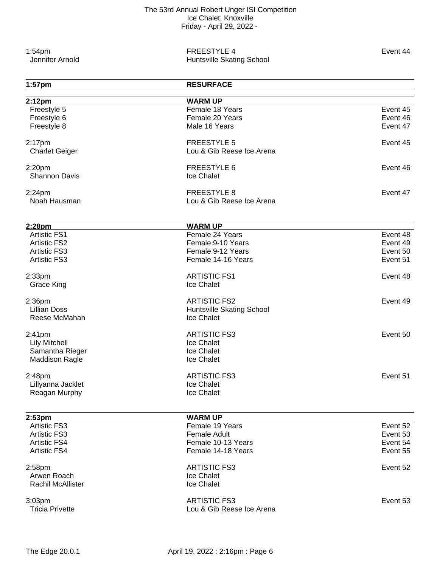1:54pm<br>
Jennifer Arnold **Exent 44** Event 44<br>
Huntsville Skating School Huntsville Skating School

| $1:57$ pm                | <b>RESURFACE</b>          |          |
|--------------------------|---------------------------|----------|
| 2:12pm                   | <b>WARM UP</b>            |          |
| Freestyle 5              | Female 18 Years           | Event 45 |
| Freestyle 6              | Female 20 Years           | Event 46 |
| Freestyle 8              | Male 16 Years             | Event 47 |
| $2:17$ pm                | <b>FREESTYLE 5</b>        | Event 45 |
| <b>Charlet Geiger</b>    | Lou & Gib Reese Ice Arena |          |
| 2:20pm                   | <b>FREESTYLE 6</b>        | Event 46 |
| <b>Shannon Davis</b>     | Ice Chalet                |          |
| $2:24$ pm                | <b>FREESTYLE 8</b>        | Event 47 |
| Noah Hausman             | Lou & Gib Reese Ice Arena |          |
| 2:28pm                   | <b>WARM UP</b>            |          |
| <b>Artistic FS1</b>      | Female 24 Years           | Event 48 |
| <b>Artistic FS2</b>      | Female 9-10 Years         | Event 49 |
| <b>Artistic FS3</b>      | Female 9-12 Years         | Event 50 |
| <b>Artistic FS3</b>      | Female 14-16 Years        | Event 51 |
| 2:33 <sub>pm</sub>       | <b>ARTISTIC FS1</b>       | Event 48 |
| <b>Grace King</b>        | Ice Chalet                |          |
| 2:36 <sub>pm</sub>       | <b>ARTISTIC FS2</b>       | Event 49 |
| <b>Lillian Doss</b>      | Huntsville Skating School |          |
| Reese McMahan            | Ice Chalet                |          |
| 2:41 <sub>pm</sub>       | <b>ARTISTIC FS3</b>       | Event 50 |
| <b>Lily Mitchell</b>     | Ice Chalet                |          |
| Samantha Rieger          | Ice Chalet                |          |
| <b>Maddison Ragle</b>    | Ice Chalet                |          |
| 2:48pm                   | <b>ARTISTIC FS3</b>       | Event 51 |
| Lillyanna Jacklet        | Ice Chalet                |          |
| Reagan Murphy            | Ice Chalet                |          |
| 2:53 <sub>pm</sub>       | <b>WARM UP</b>            |          |
| <b>Artistic FS3</b>      | Female 19 Years           | Event 52 |
| <b>Artistic FS3</b>      | <b>Female Adult</b>       | Event 53 |
| <b>Artistic FS4</b>      | Female 10-13 Years        | Event 54 |
| <b>Artistic FS4</b>      | Female 14-18 Years        | Event 55 |
| 2:58pm                   | <b>ARTISTIC FS3</b>       | Event 52 |
| Arwen Roach              | Ice Chalet                |          |
| <b>Rachil McAllister</b> | Ice Chalet                |          |
| 3:03pm                   | <b>ARTISTIC FS3</b>       | Event 53 |
| <b>Tricia Privette</b>   | Lou & Gib Reese Ice Arena |          |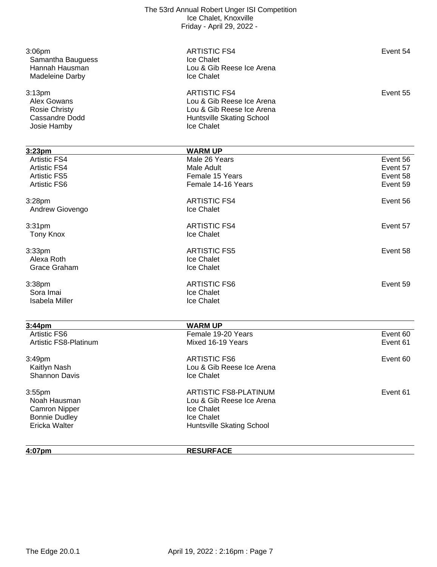| 3:06pm<br>Samantha Bauguess<br>Hannah Hausman<br>Madeleine Darby                      | <b>ARTISTIC FS4</b><br>Ice Chalet<br>Lou & Gib Reese Ice Arena<br>Ice Chalet                                             | Event 54 |
|---------------------------------------------------------------------------------------|--------------------------------------------------------------------------------------------------------------------------|----------|
| 3:13pm<br>Alex Gowans<br><b>Rosie Christy</b><br><b>Cassandre Dodd</b><br>Josie Hamby | <b>ARTISTIC FS4</b><br>Lou & Gib Reese Ice Arena<br>Lou & Gib Reese Ice Arena<br>Huntsville Skating School<br>Ice Chalet | Event 55 |
| 3:23pm                                                                                | <b>WARM UP</b>                                                                                                           |          |
| <b>Artistic FS4</b>                                                                   | Male 26 Years                                                                                                            | Event 56 |
| <b>Artistic FS4</b>                                                                   | Male Adult                                                                                                               | Event 57 |
| <b>Artistic FS5</b>                                                                   | Female 15 Years                                                                                                          | Event 58 |
| <b>Artistic FS6</b>                                                                   | Female 14-16 Years                                                                                                       | Event 59 |
| 3:28pm                                                                                | <b>ARTISTIC FS4</b>                                                                                                      | Event 56 |
| Andrew Giovengo                                                                       | Ice Chalet                                                                                                               |          |
| 3:31pm                                                                                | <b>ARTISTIC FS4</b>                                                                                                      | Event 57 |
| <b>Tony Knox</b>                                                                      | Ice Chalet                                                                                                               |          |
| 3:33 <sub>pm</sub>                                                                    | <b>ARTISTIC FS5</b>                                                                                                      | Event 58 |
| Alexa Roth                                                                            | Ice Chalet                                                                                                               |          |
| Grace Graham                                                                          | Ice Chalet                                                                                                               |          |
| 3:38pm                                                                                | <b>ARTISTIC FS6</b>                                                                                                      | Event 59 |
| Sora Imai                                                                             | Ice Chalet                                                                                                               |          |
| <b>Isabela Miller</b>                                                                 | Ice Chalet                                                                                                               |          |
| 3:44pm                                                                                | <b>WARM UP</b>                                                                                                           |          |
| <b>Artistic FS6</b>                                                                   | Female 19-20 Years                                                                                                       | Event 60 |
| Artistic FS8-Platinum                                                                 | Mixed 16-19 Years                                                                                                        | Event 61 |
| 3:49pm                                                                                | <b>ARTISTIC FS6</b>                                                                                                      | Event 60 |
| Kaitlyn Nash                                                                          | Lou & Gib Reese Ice Arena                                                                                                |          |
| <b>Shannon Davis</b>                                                                  | Ice Chalet                                                                                                               |          |
| $3:55$ pm                                                                             | <b>ARTISTIC FS8-PLATINUM</b>                                                                                             | Event 61 |
| Noah Hausman                                                                          | Lou & Gib Reese Ice Arena                                                                                                |          |
| <b>Camron Nipper</b>                                                                  | Ice Chalet                                                                                                               |          |
| <b>Bonnie Dudley</b>                                                                  | Ice Chalet                                                                                                               |          |
| Ericka Walter                                                                         | <b>Huntsville Skating School</b>                                                                                         |          |
| 4:07pm                                                                                | <b>RESURFACE</b>                                                                                                         |          |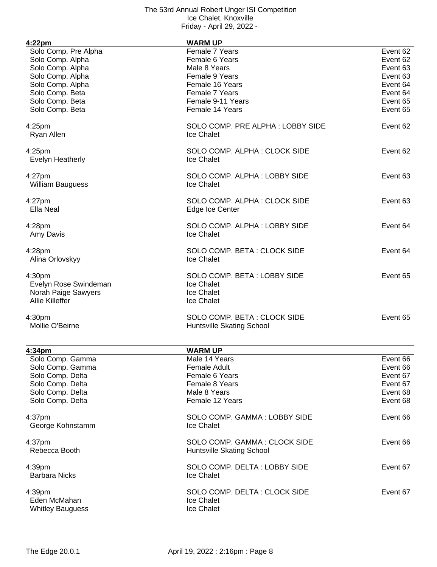| 4:22pm                                                                                                                                                        | <b>WARM UP</b>                                                                                                                                  |                                                                                              |
|---------------------------------------------------------------------------------------------------------------------------------------------------------------|-------------------------------------------------------------------------------------------------------------------------------------------------|----------------------------------------------------------------------------------------------|
| Solo Comp. Pre Alpha<br>Solo Comp. Alpha<br>Solo Comp. Alpha<br>Solo Comp. Alpha<br>Solo Comp. Alpha<br>Solo Comp. Beta<br>Solo Comp. Beta<br>Solo Comp. Beta | Female 7 Years<br>Female 6 Years<br>Male 8 Years<br>Female 9 Years<br>Female 16 Years<br>Female 7 Years<br>Female 9-11 Years<br>Female 14 Years | Event 62<br>Event 62<br>Event 63<br>Event 63<br>Event 64<br>Event 64<br>Event 65<br>Event 65 |
| 4:25pm<br>Ryan Allen                                                                                                                                          | SOLO COMP. PRE ALPHA: LOBBY SIDE<br>Ice Chalet                                                                                                  | Event 62                                                                                     |
| 4:25pm<br><b>Evelyn Heatherly</b>                                                                                                                             | SOLO COMP. ALPHA: CLOCK SIDE<br>Ice Chalet                                                                                                      | Event 62                                                                                     |
| $4:27$ pm<br><b>William Bauguess</b>                                                                                                                          | SOLO COMP. ALPHA: LOBBY SIDE<br>Ice Chalet                                                                                                      | Event 63                                                                                     |
| 4:27pm<br>Ella Neal                                                                                                                                           | SOLO COMP. ALPHA: CLOCK SIDE<br>Edge Ice Center                                                                                                 | Event 63                                                                                     |
| 4:28 <sub>pm</sub><br>Amy Davis                                                                                                                               | SOLO COMP. ALPHA: LOBBY SIDE<br>Ice Chalet                                                                                                      | Event 64                                                                                     |
| 4:28pm<br>Alina Orlovskyy                                                                                                                                     | SOLO COMP. BETA: CLOCK SIDE<br>Ice Chalet                                                                                                       | Event 64                                                                                     |
| 4:30pm<br>Evelyn Rose Swindeman<br>Norah Paige Sawyers<br><b>Allie Killeffer</b>                                                                              | SOLO COMP. BETA: LOBBY SIDE<br>Ice Chalet<br>Ice Chalet<br>Ice Chalet                                                                           | Event 65                                                                                     |
| 4:30pm<br>Mollie O'Beirne                                                                                                                                     | SOLO COMP. BETA: CLOCK SIDE<br>Huntsville Skating School                                                                                        | Event 65                                                                                     |
| 4:34pm                                                                                                                                                        | <b>WARM UP</b>                                                                                                                                  |                                                                                              |
| Solo Comp. Gamma<br>Solo Comp. Gamma<br>Solo Comp. Delta<br>Solo Comp. Delta<br>Solo Comp. Delta<br>Solo Comp. Delta                                          | Male 14 Years<br>Female Adult<br>Female 6 Years<br><b>Female 8 Years</b><br>Male 8 Years<br>Female 12 Years                                     | Event 66<br>Event 66<br>Event 67<br>Event 67<br>Event 68<br>Event 68                         |
| 4:37 <sub>pm</sub><br>George Kohnstamm                                                                                                                        | SOLO COMP. GAMMA: LOBBY SIDE<br>Ice Chalet                                                                                                      | Event 66                                                                                     |
| 4:37 <sub>pm</sub><br>Rebecca Booth                                                                                                                           | SOLO COMP. GAMMA: CLOCK SIDE<br>Huntsville Skating School                                                                                       | Event 66                                                                                     |
| 4:39pm<br><b>Barbara Nicks</b>                                                                                                                                | SOLO COMP. DELTA: LOBBY SIDE<br>Ice Chalet                                                                                                      | Event 67                                                                                     |
| 4:39 <sub>pm</sub><br>Eden McMahan<br><b>Whitley Bauguess</b>                                                                                                 | SOLO COMP. DELTA: CLOCK SIDE<br>Ice Chalet<br>Ice Chalet                                                                                        | Event 67                                                                                     |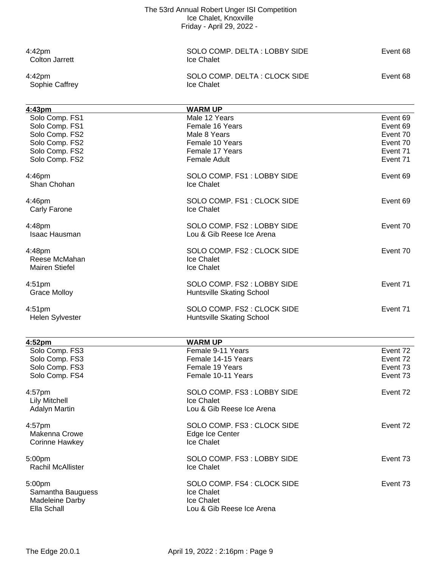Colton Jarrett

Sophie Caffrey

4:42pm<br>
Colton Jarrett 
Colton Jarrett

Colton Jarrett

Colton Survett

Colton Survett

Colton Survett

Colton Survett

Colton Survett

Colton Survett

Colton Survett

Colton Survett

Colton Survett

Colton Survett

Colton 4:42pm SOLO COMP. DELTA : CLOCK SIDE Event 68

| 4:43pm                 | <b>WARM UP</b>                           |          |
|------------------------|------------------------------------------|----------|
| Solo Comp. FS1         | Male 12 Years                            | Event 69 |
| Solo Comp. FS1         | Female 16 Years                          | Event 69 |
| Solo Comp. FS2         | Male 8 Years                             | Event 70 |
| Solo Comp. FS2         | Female 10 Years                          | Event 70 |
| Solo Comp. FS2         | Female 17 Years                          | Event 71 |
| Solo Comp. FS2         | <b>Female Adult</b>                      | Event 71 |
|                        |                                          |          |
| 4:46pm<br>Shan Chohan  | SOLO COMP. FS1: LOBBY SIDE<br>Ice Chalet | Event 69 |
|                        |                                          |          |
| 4:46pm                 | SOLO COMP. FS1: CLOCK SIDE               | Event 69 |
| Carly Farone           | Ice Chalet                               |          |
|                        |                                          |          |
| 4:48pm                 | SOLO COMP. FS2: LOBBY SIDE               | Event 70 |
| <b>Isaac Hausman</b>   | Lou & Gib Reese Ice Arena                |          |
|                        |                                          |          |
| 4:48pm                 | SOLO COMP. FS2 : CLOCK SIDE              | Event 70 |
| Reese McMahan          | Ice Chalet                               |          |
| <b>Mairen Stiefel</b>  | Ice Chalet                               |          |
|                        |                                          |          |
| 4:51 <sub>pm</sub>     | SOLO COMP. FS2: LOBBY SIDE               | Event 71 |
| <b>Grace Molloy</b>    | Huntsville Skating School                |          |
|                        |                                          |          |
| 4:51 <sub>pm</sub>     | SOLO COMP. FS2 : CLOCK SIDE              | Event 71 |
| <b>Helen Sylvester</b> | Huntsville Skating School                |          |
|                        |                                          |          |
|                        |                                          |          |
| 4:52pm                 | <b>WARM UP</b><br>Female 9-11 Years      |          |
| Solo Comp. FS3         |                                          | Event 72 |
| Solo Comp. FS3         | Female 14-15 Years                       | Event 72 |
| Solo Comp. FS3         | Female 19 Years                          | Event 73 |
| Solo Comp. FS4         | Female 10-11 Years                       | Event 73 |
| 4:57pm                 | SOLO COMP. FS3: LOBBY SIDE               | Event 72 |
| <b>Lily Mitchell</b>   | Ice Chalet                               |          |
| <b>Adalyn Martin</b>   | Lou & Gib Reese Ice Arena                |          |
|                        |                                          |          |
| 4:57pm                 | SOLO COMP. FS3: CLOCK SIDE               | Event 72 |
| Makenna Crowe          | Edge Ice Center                          |          |
| <b>Corinne Hawkey</b>  | Ice Chalet                               |          |
|                        |                                          |          |
| 5:00pm                 | SOLO COMP. FS3: LOBBY SIDE               | Event 73 |
| Rachil McAllister      | Ice Chalet                               |          |
|                        |                                          |          |
| 5:00pm                 | SOLO COMP. FS4 : CLOCK SIDE              | Event 73 |
| Samantha Bauguess      | Ice Chalet                               |          |
| Madeleine Darby        | Ice Chalet                               |          |
| Ella Schall            | Lou & Gib Reese Ice Arena                |          |
|                        |                                          |          |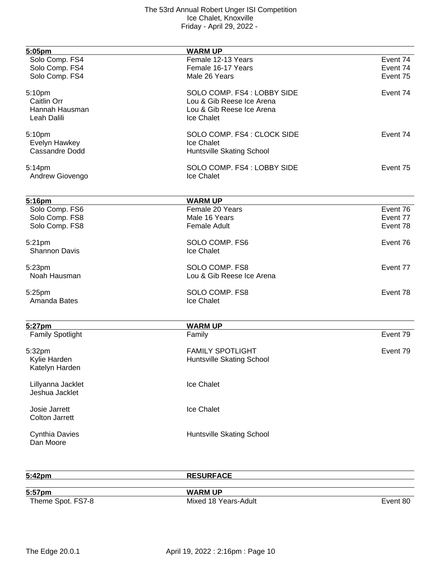| 5:05pm                  | <b>WARM UP</b>              |          |
|-------------------------|-----------------------------|----------|
| Solo Comp. FS4          | Female 12-13 Years          | Event 74 |
| Solo Comp. FS4          | Female 16-17 Years          | Event 74 |
| Solo Comp. FS4          | Male 26 Years               | Event 75 |
|                         |                             |          |
| 5:10pm                  | SOLO COMP. FS4: LOBBY SIDE  | Event 74 |
| Caitlin Orr             | Lou & Gib Reese Ice Arena   |          |
| Hannah Hausman          | Lou & Gib Reese Ice Arena   |          |
| Leah Dalili             | Ice Chalet                  |          |
|                         |                             |          |
| 5:10pm                  | SOLO COMP. FS4 : CLOCK SIDE | Event 74 |
| Evelyn Hawkey           | Ice Chalet                  |          |
| <b>Cassandre Dodd</b>   | Huntsville Skating School   |          |
| 5:14pm                  | SOLO COMP. FS4 : LOBBY SIDE | Event 75 |
| Andrew Giovengo         | Ice Chalet                  |          |
|                         |                             |          |
|                         |                             |          |
| 5:16pm                  | <b>WARM UP</b>              |          |
| Solo Comp. FS6          | Female 20 Years             | Event 76 |
| Solo Comp. FS8          | Male 16 Years               | Event 77 |
| Solo Comp. FS8          | <b>Female Adult</b>         | Event 78 |
| 5:21pm                  | SOLO COMP. FS6              | Event 76 |
| <b>Shannon Davis</b>    | <b>Ice Chalet</b>           |          |
| 5:23pm                  | SOLO COMP. FS8              | Event 77 |
| Noah Hausman            | Lou & Gib Reese Ice Arena   |          |
|                         |                             |          |
| 5:25pm                  | SOLO COMP. FS8              | Event 78 |
| Amanda Bates            | Ice Chalet                  |          |
|                         |                             |          |
| 5:27pm                  | <b>WARM UP</b>              |          |
| <b>Family Spotlight</b> | Family                      | Event 79 |
|                         |                             |          |
| 5:32pm                  | <b>FAMILY SPOTLIGHT</b>     | Event 79 |
| Kylie Harden            | Huntsville Skating School   |          |
| Katelyn Harden          |                             |          |
| Lillyanna Jacklet       | Ice Chalet                  |          |
| Jeshua Jacklet          |                             |          |
|                         |                             |          |
| Josie Jarrett           | Ice Chalet                  |          |
| <b>Colton Jarrett</b>   |                             |          |
|                         |                             |          |
| <b>Cynthia Davies</b>   | Huntsville Skating School   |          |
| Dan Moore               |                             |          |
|                         |                             |          |

**5:42pm RESURFACE**

Theme Spot. FS7-8 **Mixed 18 Years-Adult** Event 80

**5:57pm WARM UP**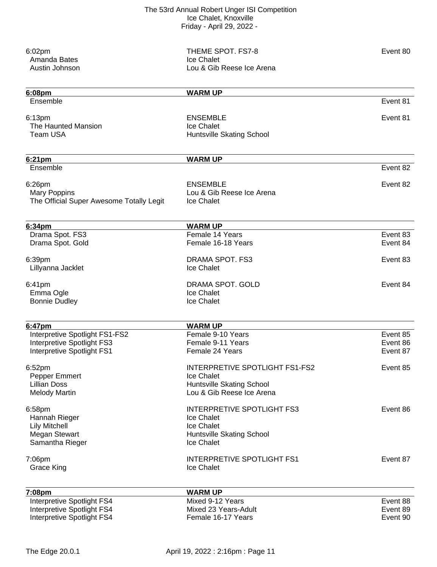| $6:02$ pm<br>Amanda Bates<br>Austin Johnson                                                | THEME SPOT. FS7-8<br>Ice Chalet<br>Lou & Gib Reese Ice Arena                                                  | Event 80                         |
|--------------------------------------------------------------------------------------------|---------------------------------------------------------------------------------------------------------------|----------------------------------|
| 6:08pm                                                                                     | <b>WARM UP</b>                                                                                                |                                  |
| Ensemble                                                                                   |                                                                                                               | Event 81                         |
| 6:13pm<br>The Haunted Mansion<br>Team USA                                                  | <b>ENSEMBLE</b><br>Ice Chalet<br><b>Huntsville Skating School</b>                                             | Event 81                         |
| 6:21pm                                                                                     | <b>WARM UP</b>                                                                                                |                                  |
| Ensemble                                                                                   |                                                                                                               | Event 82                         |
| 6:26pm<br><b>Mary Poppins</b><br>The Official Super Awesome Totally Legit                  | <b>ENSEMBLE</b><br>Lou & Gib Reese Ice Arena<br>Ice Chalet                                                    | Event 82                         |
| 6:34pm                                                                                     | <b>WARM UP</b>                                                                                                |                                  |
| Drama Spot. FS3<br>Drama Spot. Gold                                                        | Female 14 Years<br>Female 16-18 Years                                                                         | Event 83<br>Event 84             |
| 6:39pm<br>Lillyanna Jacklet                                                                | DRAMA SPOT. FS3<br>Ice Chalet                                                                                 | Event 83                         |
| 6:41pm<br>Emma Ogle<br><b>Bonnie Dudley</b>                                                | DRAMA SPOT, GOLD<br>Ice Chalet<br>Ice Chalet                                                                  | Event 84                         |
| 6:47pm                                                                                     | <b>WARM UP</b>                                                                                                |                                  |
| Interpretive Spotlight FS1-FS2<br>Interpretive Spotlight FS3<br>Interpretive Spotlight FS1 | Female 9-10 Years<br>Female 9-11 Years<br>Female 24 Years                                                     | Event 85<br>Event 86<br>Event 87 |
| 6:52pm<br>Pepper Emmert<br><b>Lillian Doss</b><br><b>Melody Martin</b>                     | <b>INTERPRETIVE SPOTLIGHT FS1-FS2</b><br>Ice Chalet<br>Huntsville Skating School<br>Lou & Gib Reese Ice Arena | Event 85                         |
| 6:58pm<br>Hannah Rieger<br><b>Lily Mitchell</b><br>Megan Stewart<br>Samantha Rieger        | <b>INTERPRETIVE SPOTLIGHT FS3</b><br>Ice Chalet<br>Ice Chalet<br>Huntsville Skating School<br>Ice Chalet      | Event 86                         |
| 7:06pm<br><b>Grace King</b>                                                                | <b>INTERPRETIVE SPOTLIGHT FS1</b><br>Ice Chalet                                                               | Event 87                         |
| 7:08pm                                                                                     | <b>WARM UP</b>                                                                                                |                                  |
| Interpretive Spotlight FS4<br>Interpretive Spotlight FS4<br>Interpretive Spotlight FS4     | Mixed 9-12 Years<br>Mixed 23 Years-Adult<br>Female 16-17 Years                                                | Event 88<br>Event 89<br>Event 90 |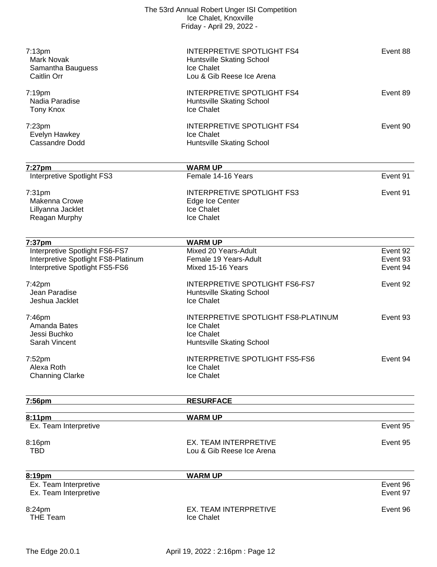| 7:13 <sub>pm</sub><br><b>Mark Novak</b><br>Samantha Bauguess<br><b>Caitlin Orr</b>                      | <b>INTERPRETIVE SPOTLIGHT FS4</b><br>Huntsville Skating School<br>Ice Chalet<br>Lou & Gib Reese Ice Arena | Event 88                         |
|---------------------------------------------------------------------------------------------------------|-----------------------------------------------------------------------------------------------------------|----------------------------------|
| $7:19$ pm<br>Nadia Paradise<br><b>Tony Knox</b>                                                         | <b>INTERPRETIVE SPOTLIGHT FS4</b><br>Huntsville Skating School<br>Ice Chalet                              | Event 89                         |
| 7:23 <sub>pm</sub><br>Evelyn Hawkey<br>Cassandre Dodd                                                   | <b>INTERPRETIVE SPOTLIGHT FS4</b><br>Ice Chalet<br>Huntsville Skating School                              | Event 90                         |
| 7:27pm<br>Interpretive Spotlight FS3                                                                    | <b>WARM UP</b><br>Female 14-16 Years                                                                      | Event 91                         |
| 7:31 <sub>pm</sub><br>Makenna Crowe<br>Lillyanna Jacklet<br>Reagan Murphy                               | <b>INTERPRETIVE SPOTLIGHT FS3</b><br>Edge Ice Center<br>Ice Chalet<br>Ice Chalet                          | Event 91                         |
| 7:37pm                                                                                                  | <b>WARM UP</b>                                                                                            |                                  |
| Interpretive Spotlight FS6-FS7<br>Interpretive Spotlight FS8-Platinum<br>Interpretive Spotlight FS5-FS6 | Mixed 20 Years-Adult<br>Female 19 Years-Adult<br>Mixed 15-16 Years                                        | Event 92<br>Event 93<br>Event 94 |
| $7:42$ pm<br>Jean Paradise<br>Jeshua Jacklet                                                            | INTERPRETIVE SPOTLIGHT FS6-FS7<br>Huntsville Skating School<br>Ice Chalet                                 | Event 92                         |
| 7:46pm<br>Amanda Bates<br>Jessi Buchko<br>Sarah Vincent                                                 | INTERPRETIVE SPOTLIGHT FS8-PLATINUM<br>Ice Chalet<br>Ice Chalet<br>Huntsville Skating School              | Event 93                         |
| 7:52 <sub>pm</sub><br>Alexa Roth<br><b>Channing Clarke</b>                                              | <b>INTERPRETIVE SPOTLIGHT FS5-FS6</b><br>Ice Chalet<br>Ice Chalet                                         | Event 94                         |
| 7:56pm                                                                                                  | <b>RESURFACE</b>                                                                                          |                                  |
| 8:11pm                                                                                                  | <b>WARM UP</b>                                                                                            |                                  |
| Ex. Team Interpretive                                                                                   |                                                                                                           | Event 95                         |
| 8:16pm<br><b>TBD</b>                                                                                    | <b>EX. TEAM INTERPRETIVE</b><br>Lou & Gib Reese Ice Arena                                                 | Event 95                         |
| 8:19pm                                                                                                  | <b>WARM UP</b>                                                                                            |                                  |
| Ex. Team Interpretive<br>Ex. Team Interpretive                                                          |                                                                                                           | Event 96<br>Event 97             |
| 8:24pm<br><b>THE Team</b>                                                                               | EX. TEAM INTERPRETIVE<br>Ice Chalet                                                                       | Event 96                         |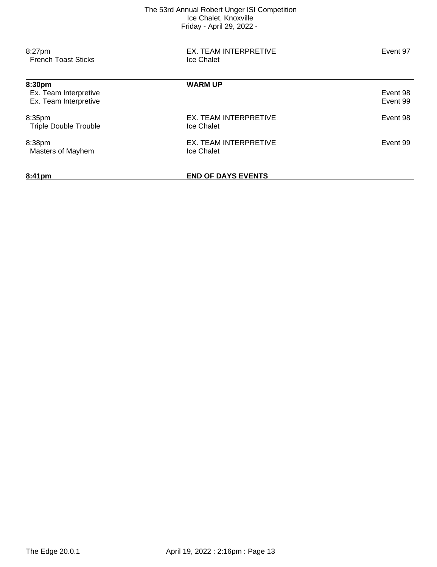| 8:41pm                                         | <b>END OF DAYS EVENTS</b>           |                      |
|------------------------------------------------|-------------------------------------|----------------------|
| 8:38pm<br>Masters of Mayhem                    | EX. TEAM INTERPRETIVE<br>Ice Chalet | Event 99             |
| 8:35pm<br><b>Triple Double Trouble</b>         | EX. TEAM INTERPRETIVE<br>Ice Chalet | Event 98             |
| Ex. Team Interpretive<br>Ex. Team Interpretive |                                     | Event 98<br>Event 99 |
| 8:30pm                                         | <b>WARM UP</b>                      |                      |
| 8:27pm<br><b>French Toast Sticks</b>           | EX. TEAM INTERPRETIVE<br>Ice Chalet | Event 97             |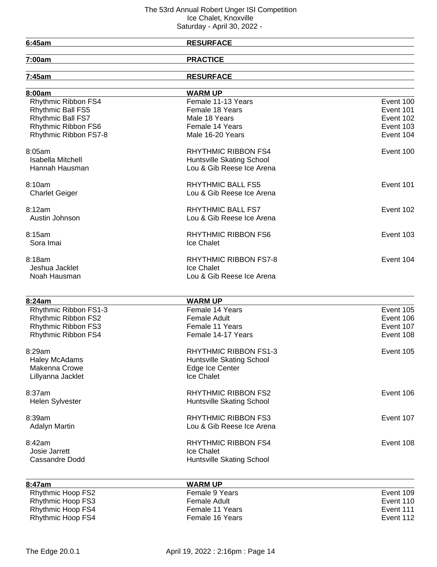<u> 1980 - Johann Barbara, martxa alemaniar a</u>

# **6:45am RESURFACE**

| u | ٠ | . . | am |  |
|---|---|-----|----|--|
|   |   |     |    |  |

**7:00am PRACTICE**

| 7:45am                   | <b>RESURFACE</b>             |           |
|--------------------------|------------------------------|-----------|
| 8:00am                   | <b>WARM UP</b>               |           |
| Rhythmic Ribbon FS4      | Female 11-13 Years           | Event 100 |
| <b>Rhythmic Ball FS5</b> | Female 18 Years              | Event 101 |
| Rhythmic Ball FS7        | Male 18 Years                | Event 102 |
| Rhythmic Ribbon FS6      | Female 14 Years              | Event 103 |
| Rhythmic Ribbon FS7-8    | Male 16-20 Years             | Event 104 |
| 8:05am                   | <b>RHYTHMIC RIBBON FS4</b>   | Event 100 |
| <b>Isabella Mitchell</b> | Huntsville Skating School    |           |
| Hannah Hausman           | Lou & Gib Reese Ice Arena    |           |
| 8:10am                   | <b>RHYTHMIC BALL FS5</b>     | Event 101 |
| <b>Charlet Geiger</b>    | Lou & Gib Reese Ice Arena    |           |
| 8:12am                   | RHYTHMIC BALL FS7            | Event 102 |
| Austin Johnson           | Lou & Gib Reese Ice Arena    |           |
| 8:15am                   | <b>RHYTHMIC RIBBON FS6</b>   | Event 103 |
| Sora Imai                | Ice Chalet                   |           |
| 8:18am                   | <b>RHYTHMIC RIBBON FS7-8</b> | Event 104 |
| Jeshua Jacklet           | Ice Chalet                   |           |
| Noah Hausman             | Lou & Gib Reese Ice Arena    |           |
|                          |                              |           |
| 8:24am                   | <b>WARM UP</b>               |           |
| Rhythmic Ribbon FS1-3    | Female 14 Years              | Event 105 |
| Rhythmic Ribbon FS2      | <b>Female Adult</b>          | Event 106 |
| Rhythmic Ribbon FS3      | Female 11 Years              | Event 107 |
| Rhythmic Ribbon FS4      | Female 14-17 Years           | Event 108 |
| 8:29am                   | <b>RHYTHMIC RIBBON FS1-3</b> | Event 105 |
| Haley McAdams            | Huntsville Skating School    |           |
| Makenna Crowe            | Edge Ice Center              |           |
| Lillyanna Jacklet        | Ice Chalet                   |           |
| 8:37am                   | <b>RHYTHMIC RIBBON FS2</b>   | Event 106 |
| <b>Helen Sylvester</b>   | Huntsville Skating School    |           |
| 8:39am                   | <b>RHYTHMIC RIBBON FS3</b>   | Event 107 |
| <b>Adalyn Martin</b>     | Lou & Gib Reese Ice Arena    |           |
| 8:42am                   | <b>RHYTHMIC RIBBON FS4</b>   | Event 108 |
| Josie Jarrett            | Ice Chalet                   |           |
| Cassandre Dodd           | Huntsville Skating School    |           |
| 8:47am                   | <b>WARM UP</b>               |           |
| Rhythmic Hoop FS2        | Female 9 Years               | Event 109 |
| Rhythmic Hoop FS3        | <b>Female Adult</b>          | Event 110 |
| Rhythmic Hoop FS4        | Female 11 Years              | Event 111 |

Rhythmic Hoop FS4

Rhythmic Hoop FS4 Female 11 Years<br>
Rhythmic Hoop FS4 Female 16 Years<br>
Female 16 Years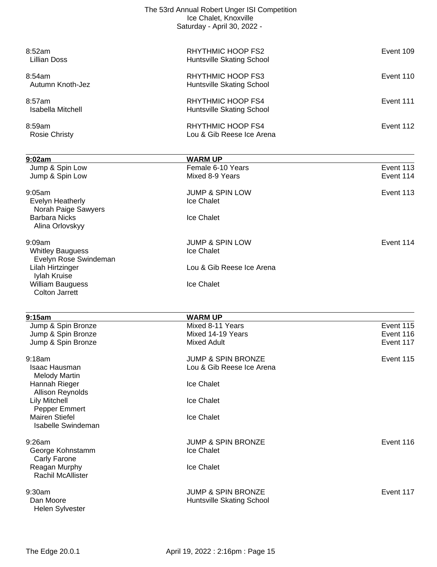| 8:59am<br><b>Rosie Christy</b> | <b>RHYTHMIC HOOP FS4</b><br>Lou & Gib Reese Ice Arena                                                | Event 112 |
|--------------------------------|------------------------------------------------------------------------------------------------------|-----------|
| 8:57am<br>Isabella Mitchell    | <b>RHYTHMIC HOOP FS4</b><br>Huntsville Skating School                                                | Event 111 |
| 8:54am<br>Autumn Knoth-Jez     | RHYTHMIC HOOP FS3<br>Huntsville Skating School                                                       | Event 110 |
| 8:52am<br><b>Lillian Doss</b>  | RHYTHMIC HOOP FS2<br>Huntsville Skating School                                                       | Event 109 |
|                                | The 53rd Annual Robert Unger ISI Competition<br>Ice Chalet, Knoxville<br>Saturday - April 30, 2022 - |           |

| 9:02am                                   | <b>WARM UP</b>                |           |
|------------------------------------------|-------------------------------|-----------|
| Jump & Spin Low                          | Female 6-10 Years             | Event 113 |
| Jump & Spin Low                          | Mixed 8-9 Years               | Event 114 |
| 9:05am                                   | <b>JUMP &amp; SPIN LOW</b>    | Event 113 |
| Evelyn Heatherly                         | Ice Chalet                    |           |
| Norah Paige Sawyers                      |                               |           |
| <b>Barbara Nicks</b>                     | <b>Ice Chalet</b>             |           |
| Alina Orlovskyy                          |                               |           |
| 9:09am                                   | <b>JUMP &amp; SPIN LOW</b>    | Event 114 |
| <b>Whitley Bauguess</b>                  | Ice Chalet                    |           |
| Evelyn Rose Swindeman                    |                               |           |
| Lilah Hirtzinger<br>Iylah Kruise         | Lou & Gib Reese Ice Arena     |           |
| William Bauguess                         | Ice Chalet                    |           |
| <b>Colton Jarrett</b>                    |                               |           |
| 9:15am                                   | <b>WARM UP</b>                |           |
| Jump & Spin Bronze                       | Mixed 8-11 Years              | Event 115 |
| Jump & Spin Bronze                       | Mixed 14-19 Years             | Event 116 |
| Jump & Spin Bronze                       | <b>Mixed Adult</b>            | Event 117 |
| $9:18$ am                                | <b>JUMP &amp; SPIN BRONZE</b> | Event 115 |
| <b>Isaac Hausman</b>                     | Lou & Gib Reese Ice Arena     |           |
| <b>Melody Martin</b>                     |                               |           |
| Hannah Rieger                            | Ice Chalet                    |           |
| Allison Reynolds<br><b>Lily Mitchell</b> | Ice Chalet                    |           |
| Pepper Emmert                            |                               |           |
| <b>Mairen Stiefel</b>                    | Ice Chalet                    |           |
| <b>Isabelle Swindeman</b>                |                               |           |
| 9:26am                                   | JUMP & SPIN BRONZE            | Event 116 |
| George Kohnstamm                         | Ice Chalet                    |           |
| Carly Farone                             |                               |           |
| Reagan Murphy                            | Ice Chalet                    |           |
| Rachil McAllister                        |                               |           |
| 9:30am                                   | <b>JUMP &amp; SPIN BRONZE</b> | Event 117 |
| Dan Moore                                | Huntsville Skating School     |           |
| Helen Sylvester                          |                               |           |
|                                          |                               |           |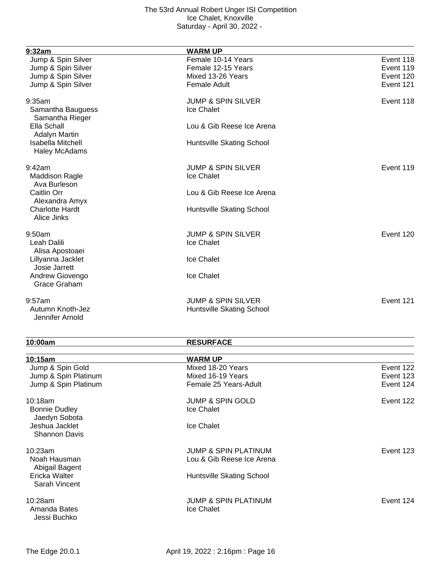| 9:32am                                           | <b>WARM UP</b>                |           |
|--------------------------------------------------|-------------------------------|-----------|
| Jump & Spin Silver                               | Female 10-14 Years            | Event 118 |
| Jump & Spin Silver                               | Female 12-15 Years            | Event 119 |
| Jump & Spin Silver                               | Mixed 13-26 Years             | Event 120 |
| Jump & Spin Silver                               | <b>Female Adult</b>           | Event 121 |
| 9:35am                                           | <b>JUMP &amp; SPIN SILVER</b> | Event 118 |
| Samantha Bauguess<br>Samantha Rieger             | Ice Chalet                    |           |
| Ella Schall<br><b>Adalyn Martin</b>              | Lou & Gib Reese Ice Arena     |           |
| <b>Isabella Mitchell</b><br><b>Haley McAdams</b> | Huntsville Skating School     |           |
| 9:42am                                           | <b>JUMP &amp; SPIN SILVER</b> | Event 119 |
| <b>Maddison Ragle</b><br>Ava Burleson            | Ice Chalet                    |           |
| Caitlin Orr<br>Alexandra Amyx                    | Lou & Gib Reese Ice Arena     |           |
| <b>Charlotte Hardt</b><br>Alice Jinks            | Huntsville Skating School     |           |
| 9:50am                                           | <b>JUMP &amp; SPIN SILVER</b> | Event 120 |
| Leah Dalili<br>Alisa Apostoaei                   | Ice Chalet                    |           |
| Lillyanna Jacklet<br>Josie Jarrett               | Ice Chalet                    |           |
| Andrew Giovengo<br>Grace Graham                  | Ice Chalet                    |           |
| 9:57am                                           | <b>JUMP &amp; SPIN SILVER</b> | Event 121 |
| Autumn Knoth-Jez<br>Jennifer Arnold              | Huntsville Skating School     |           |

## **10:00am RESURFACE**

| 10:15am                                 | <b>WARM UP</b>                                |           |
|-----------------------------------------|-----------------------------------------------|-----------|
| Jump & Spin Gold                        | Mixed 18-20 Years                             | Event 122 |
| Jump & Spin Platinum                    | Mixed 16-19 Years                             | Event 123 |
| Jump & Spin Platinum                    | Female 25 Years-Adult                         | Event 124 |
| 10:18am                                 | <b>JUMP &amp; SPIN GOLD</b>                   | Event 122 |
| <b>Bonnie Dudley</b><br>Jaedyn Sobota   | Ice Chalet                                    |           |
| Jeshua Jacklet<br><b>Shannon Davis</b>  | Ice Chalet                                    |           |
| 10:23am                                 | <b>JUMP &amp; SPIN PLATINUM</b>               | Event 123 |
| Noah Hausman<br>Abigail Bagent          | Lou & Gib Reese Ice Arena                     |           |
| Ericka Walter<br>Sarah Vincent          | Huntsville Skating School                     |           |
| 10:28am<br>Amanda Bates<br>Jessi Buchko | <b>JUMP &amp; SPIN PLATINUM</b><br>Ice Chalet | Event 124 |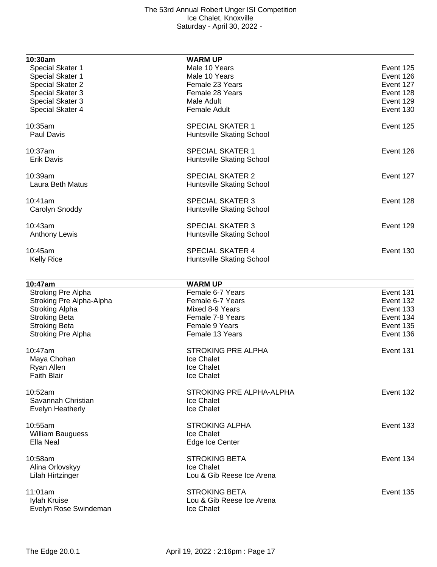| 10:30am                          | <b>WARM UP</b>            |           |
|----------------------------------|---------------------------|-----------|
| Special Skater 1                 | Male 10 Years             | Event 125 |
| Special Skater 1                 | Male 10 Years             | Event 126 |
| Special Skater 2                 | Female 23 Years           | Event 127 |
| Special Skater 3                 | Female 28 Years           | Event 128 |
| Special Skater 3                 | Male Adult                | Event 129 |
| Special Skater 4                 | <b>Female Adult</b>       | Event 130 |
|                                  |                           |           |
| 10:35am                          | <b>SPECIAL SKATER 1</b>   | Event 125 |
| <b>Paul Davis</b>                | Huntsville Skating School |           |
| 10:37am                          | <b>SPECIAL SKATER 1</b>   | Event 126 |
| <b>Erik Davis</b>                | Huntsville Skating School |           |
|                                  |                           |           |
| 10:39am                          | <b>SPECIAL SKATER 2</b>   | Event 127 |
| Laura Beth Matus                 | Huntsville Skating School |           |
| 10:41am                          | <b>SPECIAL SKATER 3</b>   | Event 128 |
| Carolyn Snoddy                   | Huntsville Skating School |           |
|                                  |                           | Event 129 |
| 10:43am                          | <b>SPECIAL SKATER 3</b>   |           |
| <b>Anthony Lewis</b>             | Huntsville Skating School |           |
| 10:45am                          | <b>SPECIAL SKATER 4</b>   | Event 130 |
| <b>Kelly Rice</b>                | Huntsville Skating School |           |
|                                  |                           |           |
| 10:47am                          | <b>WARM UP</b>            |           |
| <b>Stroking Pre Alpha</b>        | Female 6-7 Years          | Event 131 |
| Stroking Pre Alpha-Alpha         | Female 6-7 Years          | Event 132 |
| <b>Stroking Alpha</b>            | Mixed 8-9 Years           | Event 133 |
| <b>Stroking Beta</b>             | Female 7-8 Years          | Event 134 |
| <b>Stroking Beta</b>             | Female 9 Years            | Event 135 |
| Stroking Pre Alpha               | Female 13 Years           | Event 136 |
| 10:47am                          | <b>STROKING PRE ALPHA</b> | Event 131 |
|                                  | <b>Ice Chalet</b>         |           |
| Maya Chohan                      |                           |           |
| Ryan Allen<br><b>Faith Blair</b> | Ice Chalet<br>Ice Chalet  |           |
|                                  |                           |           |
| 10:52am                          | STROKING PRE ALPHA-ALPHA  | Event 132 |
| Savannah Christian               | Ice Chalet                |           |
| Evelyn Heatherly                 | Ice Chalet                |           |
| 10:55am                          | <b>STROKING ALPHA</b>     | Event 133 |
| <b>William Bauguess</b>          | Ice Chalet                |           |
| Ella Neal                        | Edge Ice Center           |           |
|                                  |                           |           |
| 10:58am                          | <b>STROKING BETA</b>      | Event 134 |
| Alina Orlovskyy                  | Ice Chalet                |           |
| Lilah Hirtzinger                 | Lou & Gib Reese Ice Arena |           |
| 11:01am                          | <b>STROKING BETA</b>      | Event 135 |
| Iylah Kruise                     | Lou & Gib Reese Ice Arena |           |
| Evelyn Rose Swindeman            | Ice Chalet                |           |
|                                  |                           |           |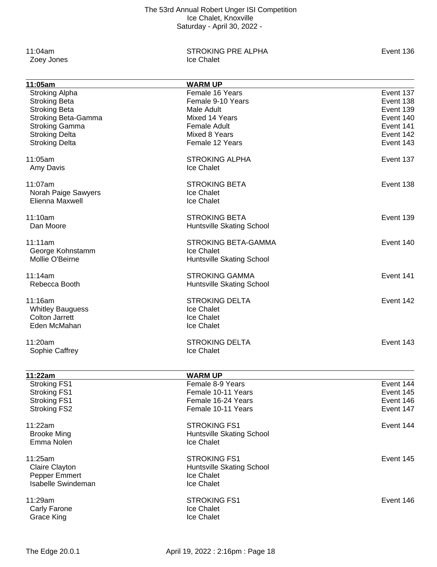Zoey Jones

11:04am STROKING PRE ALPHA<br>
STROKING PRE ALPHA<br>
Coey Jones 
Strawbing Lice Chalet

| 11:05am                    | <b>WARM UP</b>             |           |
|----------------------------|----------------------------|-----------|
| <b>Stroking Alpha</b>      | Female 16 Years            | Event 137 |
| <b>Stroking Beta</b>       | Female 9-10 Years          | Event 138 |
| <b>Stroking Beta</b>       | Male Adult                 | Event 139 |
| <b>Stroking Beta-Gamma</b> | Mixed 14 Years             | Event 140 |
| <b>Stroking Gamma</b>      | <b>Female Adult</b>        | Event 141 |
| <b>Stroking Delta</b>      | Mixed 8 Years              | Event 142 |
| <b>Stroking Delta</b>      | Female 12 Years            | Event 143 |
|                            |                            |           |
| 11:05am                    | <b>STROKING ALPHA</b>      | Event 137 |
| Amy Davis                  | Ice Chalet                 |           |
| 11:07am                    | <b>STROKING BETA</b>       | Event 138 |
| Norah Paige Sawyers        | Ice Chalet                 |           |
| Elienna Maxwell            | Ice Chalet                 |           |
|                            |                            |           |
| 11:10am                    | <b>STROKING BETA</b>       | Event 139 |
| Dan Moore                  | Huntsville Skating School  |           |
| 11:11am                    | <b>STROKING BETA-GAMMA</b> | Event 140 |
| George Kohnstamm           | Ice Chalet                 |           |
| Mollie O'Beirne            | Huntsville Skating School  |           |
|                            |                            |           |
| 11:14am                    | <b>STROKING GAMMA</b>      | Event 141 |
| Rebecca Booth              | Huntsville Skating School  |           |
| 11:16am                    | <b>STROKING DELTA</b>      | Event 142 |
| <b>Whitley Bauguess</b>    | Ice Chalet                 |           |
| <b>Colton Jarrett</b>      | Ice Chalet                 |           |
| Eden McMahan               | Ice Chalet                 |           |
|                            |                            |           |
| 11:20am                    | <b>STROKING DELTA</b>      | Event 143 |
| Sophie Caffrey             | Ice Chalet                 |           |
|                            |                            |           |
| 11:22am                    | <b>WARM UP</b>             |           |
| <b>Stroking FS1</b>        | Female 8-9 Years           | Event 144 |
| <b>Stroking FS1</b>        | Female 10-11 Years         | Event 145 |
| Stroking FS1               | Female 16-24 Years         | Event 146 |
| <b>Stroking FS2</b>        | Female 10-11 Years         | Event 147 |
| 11:22am                    | <b>STROKING FS1</b>        | Event 144 |
| <b>Brooke Ming</b>         | Huntsville Skating School  |           |
| Emma Nolen                 | Ice Chalet                 |           |
| 11:25am                    | <b>STROKING FS1</b>        | Event 145 |
| <b>Claire Clayton</b>      | Huntsville Skating School  |           |
| Pepper Emmert              | Ice Chalet                 |           |
| <b>Isabelle Swindeman</b>  | Ice Chalet                 |           |
|                            |                            |           |
| 11:29am                    | <b>STROKING FS1</b>        | Event 146 |
| Carly Farone               | Ice Chalet                 |           |
| <b>Grace King</b>          | Ice Chalet                 |           |
|                            |                            |           |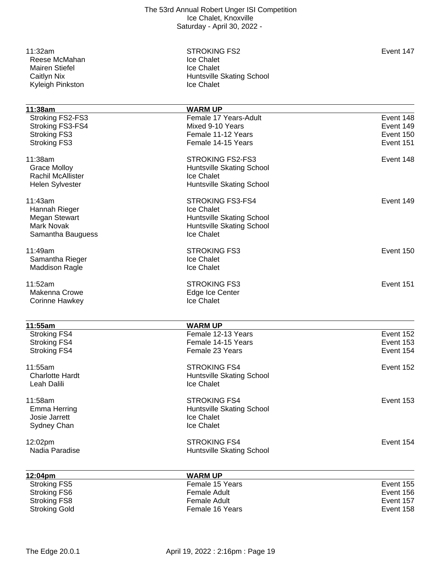Reese McMahan **Ice Chalet**<br>
Mairen Stiefel **Ice Chalet**<br>
Ice Chalet Mairen Stiefel<br>Caitlyn Nix Kyleigh Pinkston

11:32am STROKING FS2 Event 147 Huntsville Skating School<br>Ice Chalet

| 11:38am                  | <b>WARM UP</b>                   |           |
|--------------------------|----------------------------------|-----------|
| Stroking FS2-FS3         | Female 17 Years-Adult            | Event 148 |
| Stroking FS3-FS4         | Mixed 9-10 Years                 | Event 149 |
| <b>Stroking FS3</b>      | Female 11-12 Years               | Event 150 |
| <b>Stroking FS3</b>      | Female 14-15 Years               | Event 151 |
| 11:38am                  | <b>STROKING FS2-FS3</b>          | Event 148 |
| <b>Grace Molloy</b>      | Huntsville Skating School        |           |
| <b>Rachil McAllister</b> | Ice Chalet                       |           |
| Helen Sylvester          | Huntsville Skating School        |           |
| 11:43am                  | <b>STROKING FS3-FS4</b>          | Event 149 |
| Hannah Rieger            | Ice Chalet                       |           |
| Megan Stewart            | Huntsville Skating School        |           |
| <b>Mark Novak</b>        | Huntsville Skating School        |           |
| Samantha Bauguess        | Ice Chalet                       |           |
| 11:49am                  | <b>STROKING FS3</b>              | Event 150 |
| Samantha Rieger          | <b>Ice Chalet</b>                |           |
| <b>Maddison Ragle</b>    | Ice Chalet                       |           |
| 11:52am                  | <b>STROKING FS3</b>              | Event 151 |
| Makenna Crowe            | Edge Ice Center                  |           |
| <b>Corinne Hawkey</b>    | Ice Chalet                       |           |
| 11:55am                  | <b>WARM UP</b>                   |           |
| <b>Stroking FS4</b>      | Female 12-13 Years               | Event 152 |
| <b>Stroking FS4</b>      | Female 14-15 Years               | Event 153 |
| <b>Stroking FS4</b>      | Female 23 Years                  | Event 154 |
| 11:55am                  | <b>STROKING FS4</b>              | Event 152 |
| <b>Charlotte Hardt</b>   | Huntsville Skating School        |           |
| Leah Dalili              | Ice Chalet                       |           |
| 11:58am                  | <b>STROKING FS4</b>              | Event 153 |
| <b>Emma Herring</b>      | Huntsville Skating School        |           |
| Josie Jarrett            | <b>Ice Chalet</b>                |           |
| Sydney Chan              | Ice Chalet                       |           |
| 12:02pm                  | <b>STROKING FS4</b>              | Event 154 |
| Nadia Paradise           | <b>Huntsville Skating School</b> |           |
| 12:04pm                  | <b>WARM UP</b>                   |           |
| <b>Stroking FS5</b>      | Female 15 Years                  | Event 155 |
| <b>Stroking FS6</b>      | <b>Female Adult</b>              | Event 156 |
| <b>Stroking FS8</b>      | <b>Female Adult</b>              | Event 157 |
| <b>Stroking Gold</b>     | Female 16 Years                  | Event 158 |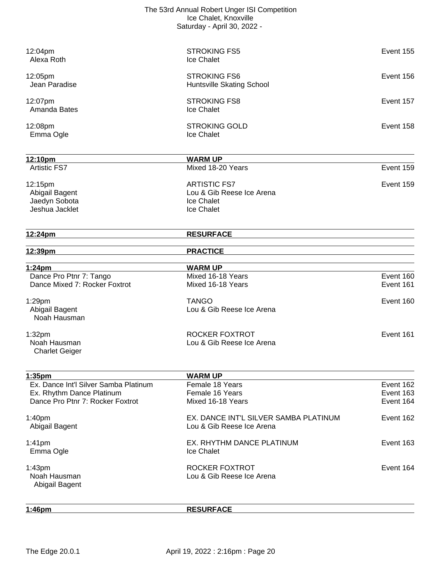| 1:46pm                                                             | <b>RESURFACE</b>                                                   |                        |
|--------------------------------------------------------------------|--------------------------------------------------------------------|------------------------|
| 1:43pm<br>Noah Hausman<br>Abigail Bagent                           | ROCKER FOXTROT<br>Lou & Gib Reese Ice Arena                        | Event 164              |
| 1:41 <sub>pm</sub><br>Emma Ogle                                    | EX. RHYTHM DANCE PLATINUM<br>Ice Chalet                            | Event 163              |
| 1:40 <sub>pm</sub><br>Abigail Bagent                               | EX. DANCE INT'L SILVER SAMBA PLATINUM<br>Lou & Gib Reese Ice Arena | Event 162              |
| Dance Pro Ptnr 7: Rocker Foxtrot                                   | Mixed 16-18 Years                                                  | Event 164              |
| Ex. Dance Int'l Silver Samba Platinum<br>Ex. Rhythm Dance Platinum | Female 18 Years<br>Female 16 Years                                 | Event 162<br>Event 163 |
| 1:35pm                                                             | <b>WARM UP</b>                                                     |                        |
| 1:32 <sub>pm</sub><br>Noah Hausman<br><b>Charlet Geiger</b>        | ROCKER FOXTROT<br>Lou & Gib Reese Ice Arena                        | Event 161              |
| 1:29pm<br>Abigail Bagent<br>Noah Hausman                           | <b>TANGO</b><br>Lou & Gib Reese Ice Arena                          | Event 160              |
| Dance Pro Ptnr 7: Tango<br>Dance Mixed 7: Rocker Foxtrot           | Mixed 16-18 Years<br>Mixed 16-18 Years                             | Event 160<br>Event 161 |
| 1:24pm                                                             | <b>WARM UP</b>                                                     |                        |
| 12:39pm                                                            | <b>PRACTICE</b>                                                    |                        |
| 12:24pm                                                            | <b>RESURFACE</b>                                                   |                        |
| Jeshua Jacklet                                                     | Ice Chalet                                                         |                        |
| Jaedyn Sobota                                                      | Ice Chalet                                                         |                        |
| 12:15pm<br>Abigail Bagent                                          | <b>ARTISTIC FS7</b><br>Lou & Gib Reese Ice Arena                   | Event 159              |
| 12:10pm<br><b>Artistic FS7</b>                                     | <b>WARM UP</b><br>Mixed 18-20 Years                                | Event 159              |
| Emma Ogle                                                          | Ice Chalet                                                         |                        |
| 12:08pm                                                            | <b>STROKING GOLD</b>                                               | Event 158              |
| 12:07pm<br>Amanda Bates                                            | <b>STROKING FS8</b><br>Ice Chalet                                  | Event 157              |
| 12:05pm<br>Jean Paradise                                           | <b>STROKING FS6</b><br>Huntsville Skating School                   | Event 156              |
|                                                                    |                                                                    |                        |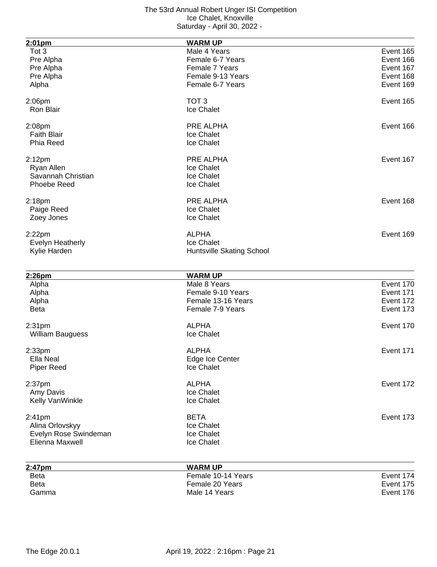| 2:01pm                  | <b>WARM UP</b>                 |           |
|-------------------------|--------------------------------|-----------|
| Tot 3                   | Male 4 Years                   | Event 165 |
| Pre Alpha               | Female 6-7 Years               | Event 166 |
| Pre Alpha               | Female 7 Years                 | Event 167 |
| Pre Alpha               | Female 9-13 Years              | Event 168 |
| Alpha                   | Female 6-7 Years               | Event 169 |
| $2:06$ pm               | TOT <sub>3</sub>               | Event 165 |
| Ron Blair               | Ice Chalet                     |           |
| 2:08pm                  | PRE ALPHA                      | Event 166 |
| <b>Faith Blair</b>      | Ice Chalet                     |           |
| Phia Reed               | Ice Chalet                     |           |
| 2:12 <sub>pm</sub>      | PRE ALPHA                      | Event 167 |
| Ryan Allen              | Ice Chalet                     |           |
| Savannah Christian      | Ice Chalet                     |           |
| <b>Phoebe Reed</b>      | Ice Chalet                     |           |
| 2:18 <sub>pm</sub>      | <b>PRE ALPHA</b>               | Event 168 |
| Paige Reed              | Ice Chalet                     |           |
| Zoey Jones              | Ice Chalet                     |           |
| $2:22$ pm               | <b>ALPHA</b>                   | Event 169 |
| <b>Evelyn Heatherly</b> | Ice Chalet                     |           |
| Kylie Harden            | Huntsville Skating School      |           |
|                         |                                |           |
| 2:26pm                  | <b>WARM UP</b><br>Male 8 Years | Event 170 |
| Alpha<br>Alpha          | Female 9-10 Years              | Event 171 |
| Alpha                   | Female 13-16 Years             | Event 172 |
| <b>Beta</b>             | Female 7-9 Years               | Event 173 |
|                         |                                |           |
| 2:31pm                  | <b>ALPHA</b>                   | Event 170 |
| <b>William Bauguess</b> | Ice Chalet                     |           |
| 2:33 <sub>pm</sub>      | <b>ALPHA</b>                   | Event 171 |
| Ella Neal               | Edge Ice Center                |           |
| <b>Piper Reed</b>       | Ice Chalet                     |           |
| 2:37pm                  | <b>ALPHA</b>                   | Event 172 |
| Amy Davis               | Ice Chalet                     |           |
| Kelly VanWinkle         | Ice Chalet                     |           |
| 2:41pm                  | <b>BETA</b>                    | Event 173 |
| Alina Orlovskyy         | Ice Chalet                     |           |
| Evelyn Rose Swindeman   | Ice Chalet                     |           |
| Elienna Maxwell         | Ice Chalet                     |           |
|                         | <b>MADALIP</b>                 |           |

| 2:47pm      | <b>WARM UP</b>     |           |
|-------------|--------------------|-----------|
| <b>Beta</b> | Female 10-14 Years | Event 174 |
| <b>Beta</b> | Female 20 Years    | Event 175 |
| Gamma       | Male 14 Years      | Event 176 |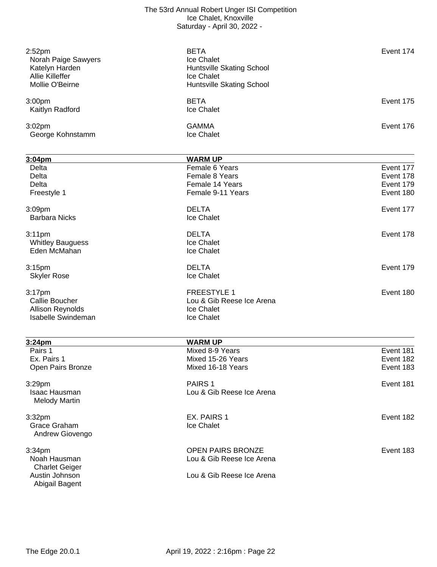| 2:52 <sub>pm</sub><br>Norah Paige Sawyers<br>Katelyn Harden<br>Allie Killeffer<br>Mollie O'Beirne | <b>BETA</b><br>Ice Chalet<br>Huntsville Skating School<br>Ice Chalet<br>Huntsville Skating School | Event 174 |
|---------------------------------------------------------------------------------------------------|---------------------------------------------------------------------------------------------------|-----------|
| 3:00 <sub>pm</sub><br>Kaitlyn Radford                                                             | <b>BETA</b><br>Ice Chalet                                                                         | Event 175 |
| 3:02 <sub>pm</sub><br>George Kohnstamm                                                            | <b>GAMMA</b><br>Ice Chalet                                                                        | Event 176 |
| 3:04 <sub>pm</sub>                                                                                | <b>WARM UP</b>                                                                                    |           |
| Delta                                                                                             | Female 6 Years                                                                                    | Event 177 |
| Delta                                                                                             | Female 8 Years                                                                                    | Event 178 |
| Delta                                                                                             | Female 14 Years                                                                                   | Event 179 |
| Freestyle 1                                                                                       | Female 9-11 Years                                                                                 | Event 180 |

- 3:09pm DELTA Event 177 Barbara Nicks **Ice Chalet**
- 3:11pm DELTA Event 178 Whitley Bauguess **Ice Chalet**<br>
Eden McMahan **Ice Chalet**<br>
Ice Chalet Eden McMahan
- Skyler Rose **In the Chalet** Ice Chalet
- 

Isabelle Swindeman

- 3:15pm DELTA Event 179 3:17pm FREESTYLE 1 Event 180 Lou & Gib Reese Ice Arena<br>Ice Chalet
- Allison Reynolds<br>
Isabelle Swindeman<br>
Ice Chalet

| 3:24 <sub>pm</sub>                           | <b>WARM UP</b>            |           |
|----------------------------------------------|---------------------------|-----------|
| Pairs 1                                      | Mixed 8-9 Years           | Event 181 |
| Ex. Pairs 1                                  | Mixed 15-26 Years         | Event 182 |
| Open Pairs Bronze                            | Mixed 16-18 Years         | Event 183 |
| 3:29pm                                       | PAIRS <sub>1</sub>        | Event 181 |
| <b>Isaac Hausman</b><br><b>Melody Martin</b> | Lou & Gib Reese Ice Arena |           |
| 3:32pm                                       | EX. PAIRS 1               | Event 182 |
| Grace Graham<br>Andrew Giovengo              | Ice Chalet                |           |
| 3:34 <sub>pm</sub>                           | <b>OPEN PAIRS BRONZE</b>  | Event 183 |
| Noah Hausman                                 | Lou & Gib Reese Ice Arena |           |
| <b>Charlet Geiger</b>                        |                           |           |
| Austin Johnson<br>Abigail Bagent             | Lou & Gib Reese Ice Arena |           |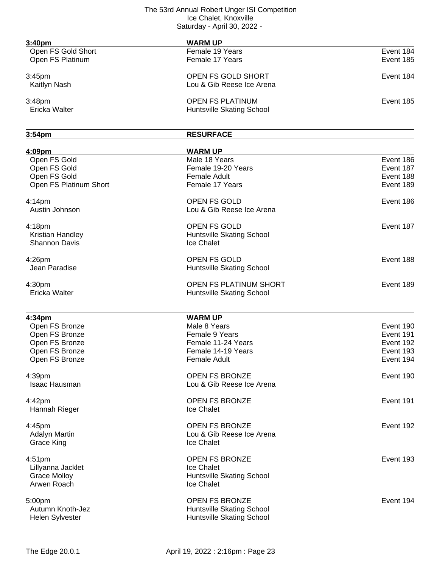| 3:40pm                   | <b>WARM UP</b>                 |           |
|--------------------------|--------------------------------|-----------|
| Open FS Gold Short       | Female 19 Years                | Event 184 |
| Open FS Platinum         | Female 17 Years                | Event 185 |
| 3:45pm                   | OPEN FS GOLD SHORT             | Event 184 |
| Kaitlyn Nash             | Lou & Gib Reese Ice Arena      |           |
| 3:48pm                   | <b>OPEN FS PLATINUM</b>        | Event 185 |
| Ericka Walter            | Huntsville Skating School      |           |
| 3:54pm                   | <b>RESURFACE</b>               |           |
| 4:09pm                   | <b>WARM UP</b>                 |           |
| Open FS Gold             | Male 18 Years                  | Event 186 |
| Open FS Gold             | Female 19-20 Years             | Event 187 |
| Open FS Gold             | <b>Female Adult</b>            | Event 188 |
| Open FS Platinum Short   | Female 17 Years                | Event 189 |
| 4:14 <sub>pm</sub>       | <b>OPEN FS GOLD</b>            | Event 186 |
| Austin Johnson           | Lou & Gib Reese Ice Arena      |           |
| 4:18pm                   | <b>OPEN FS GOLD</b>            | Event 187 |
| Kristian Handley         | Huntsville Skating School      |           |
| <b>Shannon Davis</b>     | Ice Chalet                     |           |
| $4:26$ pm                | OPEN FS GOLD                   | Event 188 |
| Jean Paradise            | Huntsville Skating School      |           |
| 4:30pm                   | <b>OPEN FS PLATINUM SHORT</b>  | Event 189 |
| Ericka Walter            | Huntsville Skating School      |           |
|                          |                                |           |
| 4:34pm<br>Open FS Bronze | <b>WARM UP</b><br>Male 8 Years | Event 190 |
|                          |                                | Event 191 |
| Open FS Bronze           | Female 9 Years                 |           |
| Open FS Bronze           | Female 11-24 Years             | Event 192 |
| Open FS Bronze           | Female 14-19 Years             | Event 193 |
| Open FS Bronze           | <b>Female Adult</b>            | Event 194 |
| 4:39pm                   | <b>OPEN FS BRONZE</b>          | Event 190 |
| <b>Isaac Hausman</b>     | Lou & Gib Reese Ice Arena      |           |
| 4:42pm                   | <b>OPEN FS BRONZE</b>          | Event 191 |
| Hannah Rieger            | Ice Chalet                     |           |
| 4:45pm                   | <b>OPEN FS BRONZE</b>          | Event 192 |
| <b>Adalyn Martin</b>     | Lou & Gib Reese Ice Arena      |           |
| <b>Grace King</b>        | Ice Chalet                     |           |
| 4:51pm                   | <b>OPEN FS BRONZE</b>          | Event 193 |
| Lillyanna Jacklet        | Ice Chalet                     |           |
| <b>Grace Molloy</b>      | Huntsville Skating School      |           |
| Arwen Roach              | Ice Chalet                     |           |
|                          |                                |           |
| 5:00pm                   | <b>OPEN FS BRONZE</b>          | Event 194 |
| Autumn Knoth-Jez         | Huntsville Skating School      |           |
| Helen Sylvester          | Huntsville Skating School      |           |
|                          |                                |           |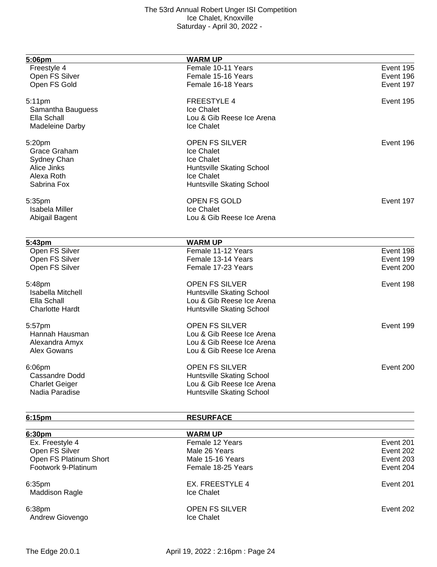| 5:06pm                   | <b>WARM UP</b>            |           |
|--------------------------|---------------------------|-----------|
| Freestyle 4              | Female 10-11 Years        | Event 195 |
| Open FS Silver           | Female 15-16 Years        | Event 196 |
| Open FS Gold             | Female 16-18 Years        | Event 197 |
| 5:11pm                   | <b>FREESTYLE 4</b>        | Event 195 |
| Samantha Bauguess        | Ice Chalet                |           |
| Ella Schall              | Lou & Gib Reese Ice Arena |           |
| <b>Madeleine Darby</b>   | Ice Chalet                |           |
| 5:20pm                   | <b>OPEN FS SILVER</b>     | Event 196 |
| Grace Graham             | Ice Chalet                |           |
| Sydney Chan              | Ice Chalet                |           |
| Alice Jinks              | Huntsville Skating School |           |
| Alexa Roth               | Ice Chalet                |           |
| Sabrina Fox              | Huntsville Skating School |           |
| 5:35pm                   | OPEN FS GOLD              | Event 197 |
| Isabela Miller           | Ice Chalet                |           |
| Abigail Bagent           | Lou & Gib Reese Ice Arena |           |
| 5:43pm                   | <b>WARM UP</b>            |           |
| Open FS Silver           | Female 11-12 Years        | Event 198 |
| Open FS Silver           | Female 13-14 Years        | Event 199 |
| Open FS Silver           | Female 17-23 Years        | Event 200 |
| 5:48pm                   | <b>OPEN FS SILVER</b>     | Event 198 |
| <b>Isabella Mitchell</b> | Huntsville Skating School |           |
| Ella Schall              | Lou & Gib Reese Ice Arena |           |
| <b>Charlotte Hardt</b>   | Huntsville Skating School |           |
| 5:57pm                   | <b>OPEN FS SILVER</b>     | Event 199 |
| Hannah Hausman           | Lou & Gib Reese Ice Arena |           |
| Alexandra Amyx           | Lou & Gib Reese Ice Arena |           |
| <b>Alex Gowans</b>       | Lou & Gib Reese Ice Arena |           |
| 6:06pm                   | <b>OPEN FS SILVER</b>     | Event 200 |
| <b>Cassandre Dodd</b>    | Huntsville Skating School |           |
| <b>Charlet Geiger</b>    | Lou & Gib Reese Ice Arena |           |
| Nadia Paradise           | Huntsville Skating School |           |
| 6:15pm                   | <b>RESURFACE</b>          |           |
| 6:30pm                   | <b>WARM UP</b>            |           |

| 6:30 <sub>pm</sub>     | WARM UP               |           |
|------------------------|-----------------------|-----------|
| Ex. Freestyle 4        | Female 12 Years       | Event 201 |
| Open FS Silver         | Male 26 Years         | Event 202 |
| Open FS Platinum Short | Male 15-16 Years      | Event 203 |
| Footwork 9-Platinum    | Female 18-25 Years    | Event 204 |
| 6:35 <sub>pm</sub>     | EX. FREESTYLE 4       | Event 201 |
| <b>Maddison Ragle</b>  | Ice Chalet            |           |
| 6:38pm                 | <b>OPEN FS SILVER</b> | Event 202 |
| Andrew Giovengo        | Ice Chalet            |           |
|                        |                       |           |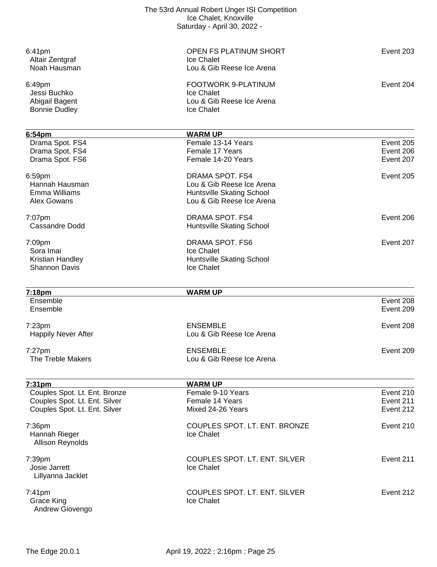| The 53rd Annual Robert Unger ISI Competition |  |
|----------------------------------------------|--|
| Ice Chalet, Knoxville                        |  |
| Saturday - April 30, 2022 -                  |  |

| 6:41pm<br>Altair Zentgraf<br>Noah Hausman                        | OPEN FS PLATINUM SHORT<br>Ice Chalet<br>Lou & Gib Reese Ice Arena                                      | Event 203                           |
|------------------------------------------------------------------|--------------------------------------------------------------------------------------------------------|-------------------------------------|
| 6:49pm<br>Jessi Buchko<br>Abigail Bagent<br><b>Bonnie Dudley</b> | <b>FOOTWORK 9-PLATINUM</b><br>Ice Chalet<br>Lou & Gib Reese Ice Arena<br>Ice Chalet                    | Event 204                           |
| 6:54pm                                                           | <b>WARM UP</b>                                                                                         |                                     |
| Drama Spot. FS4<br>Drama Spot. FS4<br>Drama Spot. FS6            | Female 13-14 Years<br>Female 17 Years<br>Female 14-20 Years                                            | Event 205<br>Event 206<br>Event 207 |
| 6:59pm<br>Hannah Hausman<br>Emma Williams<br><b>Alex Gowans</b>  | DRAMA SPOT. FS4<br>Lou & Gib Reese Ice Arena<br>Huntsville Skating School<br>Lou & Gib Reese Ice Arena | Event 205                           |
| 7:07pm<br><b>Cassandre Dodd</b>                                  | DRAMA SPOT. FS4<br>Huntsville Skating School                                                           | Event 206                           |
| 7:09pm<br>Sora Imai<br>Kristian Handley<br><b>Shannon Davis</b>  | DRAMA SPOT. FS6<br>Ice Chalet<br>Huntsville Skating School<br>Ice Chalet                               | Event 207                           |
| 7:18pm                                                           | <b>WARM UP</b>                                                                                         |                                     |
| Ensemble<br>Ensemble                                             |                                                                                                        | Event 208<br>Event 209              |
| 7:23 <sub>pm</sub><br><b>Happily Never After</b>                 | <b>ENSEMBLE</b><br>Lou & Gib Reese Ice Arena                                                           | Event 208                           |
| 7:27pm<br>The Treble Makers                                      | <b>ENSEMBLE</b><br>Lou & Gib Reese Ice Arena                                                           | Event 209                           |
| 7:31 <sub>pm</sub>                                               | <b>WARM UP</b>                                                                                         |                                     |
| Couples Spot. Lt. Ent. Bronze                                    | Female 9-10 Years                                                                                      | Event 210                           |
| Couples Spot. Lt. Ent. Silver<br>Couples Spot. Lt. Ent. Silver   | Female 14 Years<br>Mixed 24-26 Years                                                                   | Event 211<br>Event 212              |
|                                                                  |                                                                                                        |                                     |
| 7:36pm<br>Hannah Rieger<br>Allison Reynolds                      | COUPLES SPOT. LT. ENT. BRONZE<br>Ice Chalet                                                            | Event 210                           |
| 7:39pm<br>Josie Jarrett                                          | COUPLES SPOT. LT. ENT. SILVER<br>Ice Chalet                                                            | Event 211                           |
| Lillyanna Jacklet                                                |                                                                                                        |                                     |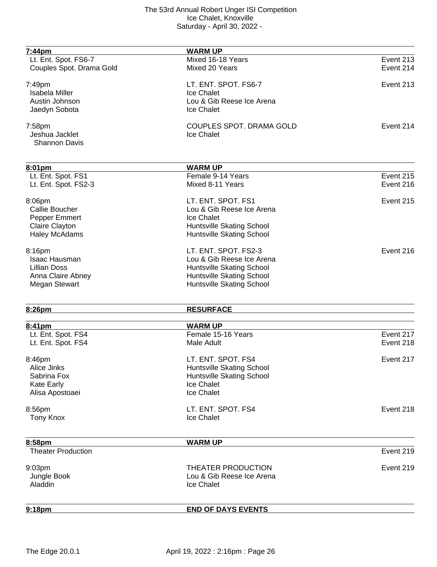| <u>7:44pm</u>                       | <b>WARM UP</b>                      |           |
|-------------------------------------|-------------------------------------|-----------|
| Lt. Ent. Spot. FS6-7                | Mixed 16-18 Years                   | Event 213 |
| Couples Spot. Drama Gold            | Mixed 20 Years                      | Event 214 |
| 7:49pm                              | LT. ENT. SPOT. FS6-7                | Event 213 |
| <b>Isabela Miller</b>               | Ice Chalet                          |           |
| Austin Johnson                      | Lou & Gib Reese Ice Arena           |           |
|                                     |                                     |           |
| Jaedyn Sobota                       | Ice Chalet                          |           |
| 7:58pm                              | COUPLES SPOT. DRAMA GOLD            | Event 214 |
| Jeshua Jacklet                      | Ice Chalet                          |           |
| Shannon Davis                       |                                     |           |
|                                     |                                     |           |
| 8:01pm<br>Lt. Ent. Spot. FS1        | <b>WARM UP</b><br>Female 9-14 Years | Event 215 |
|                                     | Mixed 8-11 Years                    | Event 216 |
| Lt. Ent. Spot. FS2-3                |                                     |           |
| 8:06pm                              | LT. ENT. SPOT. FS1                  | Event 215 |
| Callie Boucher                      | Lou & Gib Reese Ice Arena           |           |
| Pepper Emmert                       | Ice Chalet                          |           |
| Claire Clayton                      | Huntsville Skating School           |           |
| <b>Haley McAdams</b>                | Huntsville Skating School           |           |
| 8:16pm                              | LT. ENT. SPOT. FS2-3                | Event 216 |
| <b>Isaac Hausman</b>                | Lou & Gib Reese Ice Arena           |           |
| <b>Lillian Doss</b>                 | Huntsville Skating School           |           |
| Anna Claire Abney                   | Huntsville Skating School           |           |
| <b>Megan Stewart</b>                | Huntsville Skating School           |           |
|                                     |                                     |           |
| 8:26pm                              | <b>RESURFACE</b>                    |           |
| 8:41pm                              | <b>WARM UP</b>                      |           |
| Lt. Ent. Spot. FS4                  | Female 15-16 Years                  | Event 217 |
| Lt. Ent. Spot. FS4                  | Male Adult                          | Event 218 |
|                                     |                                     |           |
| 8:46pm                              | LT. ENT. SPOT. FS4                  | Event 217 |
| Alice Jinks                         | Huntsville Skating School           |           |
| Sabrina Fox                         | Huntsville Skating School           |           |
| <b>Kate Early</b>                   | Ice Chalet                          |           |
| Alisa Apostoaei                     | Ice Chalet                          |           |
| 8:56pm                              | LT. ENT. SPOT. FS4                  | Event 218 |
| <b>Tony Knox</b>                    | Ice Chalet                          |           |
|                                     |                                     |           |
| 8:58pm<br><b>Theater Production</b> | <b>WARM UP</b>                      | Event 219 |
|                                     |                                     |           |
| 9:03pm                              | THEATER PRODUCTION                  | Event 219 |
| Jungle Book                         | Lou & Gib Reese Ice Arena           |           |
| Aladdin                             | Ice Chalet                          |           |
|                                     |                                     |           |
| 9:18pm                              | <b>END OF DAYS EVENTS</b>           |           |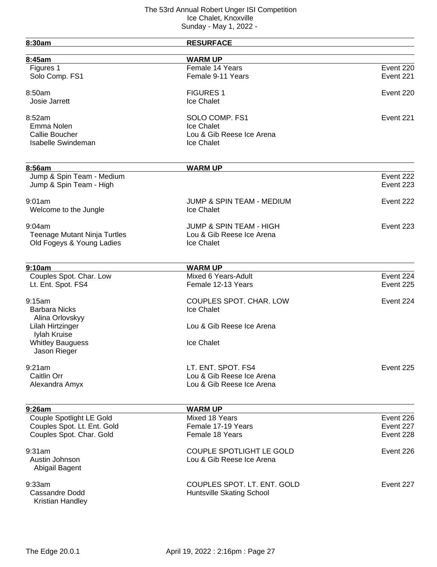| 8:30am                              | <b>RESURFACE</b>                     |           |
|-------------------------------------|--------------------------------------|-----------|
| 8:45am                              | <b>WARM UP</b>                       |           |
| Figures 1                           | Female 14 Years                      | Event 220 |
| Solo Comp. FS1                      | Female 9-11 Years                    | Event 221 |
| 8:50am                              | <b>FIGURES 1</b>                     | Event 220 |
| Josie Jarrett                       | Ice Chalet                           |           |
| 8:52am                              | SOLO COMP. FS1                       | Event 221 |
| Emma Nolen                          | Ice Chalet                           |           |
| <b>Callie Boucher</b>               | Lou & Gib Reese Ice Arena            |           |
| <b>Isabelle Swindeman</b>           | Ice Chalet                           |           |
| 8:56am                              | <b>WARM UP</b>                       |           |
| Jump & Spin Team - Medium           |                                      | Event 222 |
| Jump & Spin Team - High             |                                      | Event 223 |
| 9:01am                              | <b>JUMP &amp; SPIN TEAM - MEDIUM</b> | Event 222 |
| Welcome to the Jungle               | Ice Chalet                           |           |
| 9:04am                              | <b>JUMP &amp; SPIN TEAM - HIGH</b>   | Event 223 |
| <b>Teenage Mutant Ninja Turtles</b> | Lou & Gib Reese Ice Arena            |           |
| Old Fogeys & Young Ladies           | Ice Chalet                           |           |
|                                     |                                      |           |
| 9:10am                              | <b>WARM UP</b>                       |           |
| Couples Spot. Char. Low             | Mixed 6 Years-Adult                  | Event 224 |
| Lt. Ent. Spot. FS4                  | Female 12-13 Years                   | Event 225 |
| 9:15am                              | COUPLES SPOT. CHAR. LOW              | Event 224 |
| <b>Barbara Nicks</b>                | Ice Chalet                           |           |
| Alina Orlovskyy                     |                                      |           |
| Lilah Hirtzinger                    | Lou & Gib Reese Ice Arena            |           |
| Iylah Kruise                        |                                      |           |
| <b>Whitley Bauguess</b>             | Ice Chalet                           |           |
| Jason Rieger                        |                                      |           |
| 9:21am                              | LT. ENT. SPOT. FS4                   | Event 225 |
| Caitlin Orr                         | Lou & Gib Reese Ice Arena            |           |
| Alexandra Amyx                      | Lou & Gib Reese Ice Arena            |           |
|                                     |                                      |           |
| 9:26am                              | <b>WARM UP</b>                       |           |
| Couple Spotlight LE Gold            | Mixed 18 Years                       | Event 226 |
| Couples Spot. Lt. Ent. Gold         | Female 17-19 Years                   | Event 227 |
| Couples Spot. Char. Gold            | Female 18 Years                      | Event 228 |
| 9:31am                              | <b>COUPLE SPOTLIGHT LE GOLD</b>      | Event 226 |
| Austin Johnson                      | Lou & Gib Reese Ice Arena            |           |
| Abigail Bagent                      |                                      |           |
| 9:33am                              | COUPLES SPOT. LT. ENT. GOLD          | Event 227 |
| Cassandre Dodd                      | Huntsville Skating School            |           |
| Kristian Handley                    |                                      |           |
|                                     |                                      |           |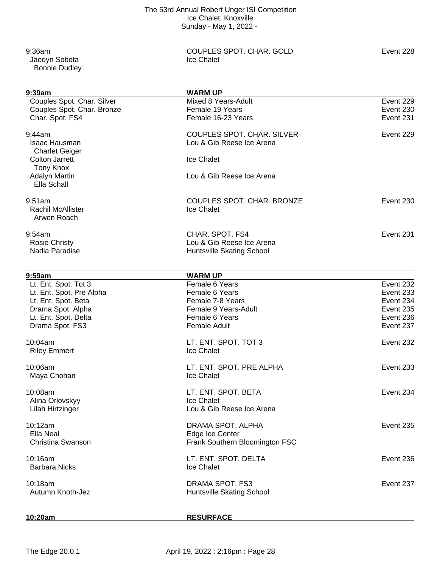Jaedyn Sobota Bonnie Dudley

9:36am COUPLES SPOT. CHAR. GOLD Event 228<br>
Under the Chalet Couples Spot Chalet

| 9:39am                     | <b>WARM UP</b>                 |           |
|----------------------------|--------------------------------|-----------|
| Couples Spot. Char. Silver | Mixed 8 Years-Adult            | Event 229 |
| Couples Spot. Char. Bronze | Female 19 Years                | Event 230 |
| Char. Spot. FS4            | Female 16-23 Years             | Event 231 |
| 9:44am                     | COUPLES SPOT. CHAR. SILVER     | Event 229 |
| <b>Isaac Hausman</b>       | Lou & Gib Reese Ice Arena      |           |
| <b>Charlet Geiger</b>      |                                |           |
| <b>Colton Jarrett</b>      | Ice Chalet                     |           |
| <b>Tony Knox</b>           |                                |           |
| <b>Adalyn Martin</b>       | Lou & Gib Reese Ice Arena      |           |
| Ella Schall                |                                |           |
| 9:51am                     | COUPLES SPOT. CHAR. BRONZE     | Event 230 |
| Rachil McAllister          | Ice Chalet                     |           |
| Arwen Roach                |                                |           |
| 9:54am                     | CHAR. SPOT. FS4                | Event 231 |
| <b>Rosie Christy</b>       | Lou & Gib Reese Ice Arena      |           |
| Nadia Paradise             | Huntsville Skating School      |           |
|                            |                                |           |
| 9:59am                     | <b>WARM UP</b>                 |           |
| Lt. Ent. Spot. Tot 3       | Female 6 Years                 | Event 232 |
| Lt. Ent. Spot. Pre Alpha   | Female 6 Years                 | Event 233 |
| Lt. Ent. Spot. Beta        | Female 7-8 Years               | Event 234 |
| Drama Spot. Alpha          | Female 9 Years-Adult           | Event 235 |
| Lt. Ent. Spot. Delta       | Female 6 Years                 | Event 236 |
| Drama Spot. FS3            | <b>Female Adult</b>            | Event 237 |
| 10:04am                    | LT. ENT. SPOT. TOT 3           | Event 232 |
| <b>Riley Emmert</b>        | Ice Chalet                     |           |
| 10:06am                    | LT. ENT. SPOT. PRE ALPHA       | Event 233 |
| Maya Chohan                | Ice Chalet                     |           |
| 10:08am                    | LT. ENT. SPOT. BETA            | Event 234 |
| Alina Orlovskyy            | Ice Chalet                     |           |
| Lilah Hirtzinger           | Lou & Gib Reese Ice Arena      |           |
| 10:12am                    | DRAMA SPOT, ALPHA              | Event 235 |
| Ella Neal                  | Edge Ice Center                |           |
| Christina Swanson          | Frank Southern Bloomington FSC |           |
| 10:16am                    | LT. ENT. SPOT. DELTA           | Event 236 |
| <b>Barbara Nicks</b>       | Ice Chalet                     |           |
| 10:18am                    | DRAMA SPOT. FS3                | Event 237 |
| Autumn Knoth-Jez           | Huntsville Skating School      |           |
|                            |                                |           |

**10:20am RESURFACE**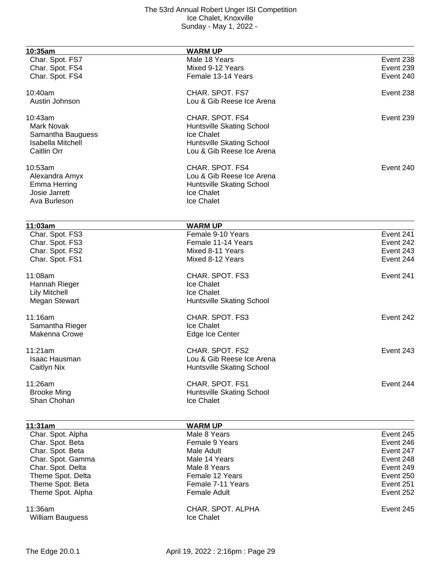| 10:35am                              | <b>WARM UP</b>                      |           |
|--------------------------------------|-------------------------------------|-----------|
| Char. Spot. FS7                      | Male 18 Years                       | Event 238 |
| Char. Spot. FS4                      | Mixed 9-12 Years                    | Event 239 |
| Char. Spot. FS4                      | Female 13-14 Years                  | Event 240 |
|                                      |                                     |           |
| 10:40am                              | CHAR. SPOT. FS7                     | Event 238 |
| Austin Johnson                       | Lou & Gib Reese Ice Arena           |           |
| 10:43am                              | CHAR. SPOT. FS4                     | Event 239 |
| <b>Mark Novak</b>                    | Huntsville Skating School           |           |
| Samantha Bauguess                    | Ice Chalet                          |           |
| <b>Isabella Mitchell</b>             | Huntsville Skating School           |           |
| <b>Caitlin Orr</b>                   | Lou & Gib Reese Ice Arena           |           |
| 10:53am                              | CHAR. SPOT. FS4                     | Event 240 |
|                                      |                                     |           |
| Alexandra Amyx                       | Lou & Gib Reese Ice Arena           |           |
| Emma Herring                         | Huntsville Skating School           |           |
| Josie Jarrett                        | Ice Chalet                          |           |
| Ava Burleson                         | Ice Chalet                          |           |
|                                      |                                     |           |
| 11:03am<br>Char. Spot. FS3           | <b>WARM UP</b><br>Female 9-10 Years | Event 241 |
| Char. Spot. FS3                      | Female 11-14 Years                  | Event 242 |
| Char. Spot. FS2                      | Mixed 8-11 Years                    | Event 243 |
| Char. Spot. FS1                      | Mixed 8-12 Years                    | Event 244 |
|                                      |                                     |           |
| 11:08am                              | CHAR. SPOT. FS3                     | Event 241 |
| Hannah Rieger                        | Ice Chalet                          |           |
| <b>Lily Mitchell</b>                 | Ice Chalet                          |           |
| <b>Megan Stewart</b>                 | Huntsville Skating School           |           |
| 11:16am                              | CHAR. SPOT. FS3                     | Event 242 |
| Samantha Rieger                      | Ice Chalet                          |           |
| Makenna Crowe                        | Edge Ice Center                     |           |
|                                      |                                     | Event 243 |
| 11:21am                              | CHAR. SPOT. FS2                     |           |
| Isaac Hausman                        | Lou & Gib Reese Ice Arena           |           |
| Caitlyn Nix                          | Huntsville Skating School           |           |
| 11:26am                              | CHAR. SPOT. FS1                     | Event 244 |
| <b>Brooke Ming</b>                   | Huntsville Skating School           |           |
| Shan Chohan                          | Ice Chalet                          |           |
|                                      |                                     |           |
| 11:31am<br>Char. Spot. Alpha         | <b>WARM UP</b><br>Male 8 Years      | Event 245 |
|                                      | Female 9 Years                      | Event 246 |
| Char. Spot. Beta<br>Char. Spot. Beta | Male Adult                          | Event 247 |
| Char. Spot. Gamma                    | Male 14 Years                       | Event 248 |
| Char. Spot. Delta                    | Male 8 Years                        | Event 249 |
| Theme Spot. Delta                    | Female 12 Years                     | Event 250 |
| Theme Spot. Beta                     | Female 7-11 Years                   | Event 251 |
| Theme Spot. Alpha                    | <b>Female Adult</b>                 | Event 252 |
|                                      |                                     |           |
| 11:36am                              | CHAR. SPOT. ALPHA                   | Event 245 |
| <b>William Bauguess</b>              | Ice Chalet                          |           |
|                                      |                                     |           |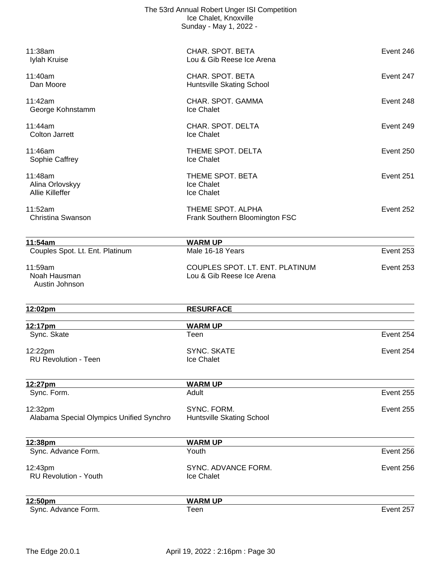|                                                      | The 53rd Annual Robert Unger ISI Competition<br>Ice Chalet, Knoxville<br>Sunday - May 1, 2022 - |           |
|------------------------------------------------------|-------------------------------------------------------------------------------------------------|-----------|
| 11:38am<br>Iylah Kruise                              | CHAR. SPOT. BETA<br>Lou & Gib Reese Ice Arena                                                   | Event 246 |
| 11:40am<br>Dan Moore                                 | CHAR. SPOT. BETA<br>Huntsville Skating School                                                   | Event 247 |
| 11:42am<br>George Kohnstamm                          | CHAR. SPOT. GAMMA<br>Ice Chalet                                                                 | Event 248 |
| 11:44am<br><b>Colton Jarrett</b>                     | CHAR. SPOT. DELTA<br>Ice Chalet                                                                 | Event 249 |
| 11:46am<br>Sophie Caffrey                            | THEME SPOT. DELTA<br>Ice Chalet                                                                 | Event 250 |
| 11:48am<br>Alina Orlovskyy<br><b>Allie Killeffer</b> | THEME SPOT. BETA<br>Ice Chalet<br><b>Ice Chalet</b>                                             | Event 251 |
| 11:52am<br>Christina Swanson                         | THEME SPOT. ALPHA<br>Frank Southern Bloomington FSC                                             | Event 252 |
| 11:54am                                              | <b>WARM UP</b>                                                                                  |           |
| Couples Spot. Lt. Ent. Platinum                      | Male 16-18 Years                                                                                | Event 253 |
| 11:59am<br>Noah Hausman<br>Austin Johnson            | COUPLES SPOT. LT. ENT. PLATINUM<br>Lou & Gib Reese Ice Arena                                    | Event 253 |
| 12:02pm                                              | <b>RESURFACE</b>                                                                                |           |
| 12:17pm<br>Sync. Skate                               | <b>WARM UP</b><br>Teen                                                                          | Event 254 |
| 12:22pm<br><b>RU Revolution - Teen</b>               | <b>SYNC. SKATE</b><br>Ice Chalet                                                                | Event 254 |
| 12:27pm                                              | <b>WARM UP</b>                                                                                  |           |
| Sync. Form.                                          | Adult                                                                                           | Event 255 |
| 12:32pm<br>Alabama Special Olympics Unified Synchro  | SYNC. FORM.<br>Huntsville Skating School                                                        | Event 255 |
| 12:38pm                                              | <b>WARM UP</b>                                                                                  |           |
| Sync. Advance Form.                                  | Youth                                                                                           | Event 256 |
| 12:43pm<br><b>RU Revolution - Youth</b>              | SYNC. ADVANCE FORM.<br>Ice Chalet                                                               | Event 256 |
| 12:50pm<br>Sync. Advance Form.                       | <b>WARM UP</b><br>Teen                                                                          | Event 257 |
|                                                      |                                                                                                 |           |